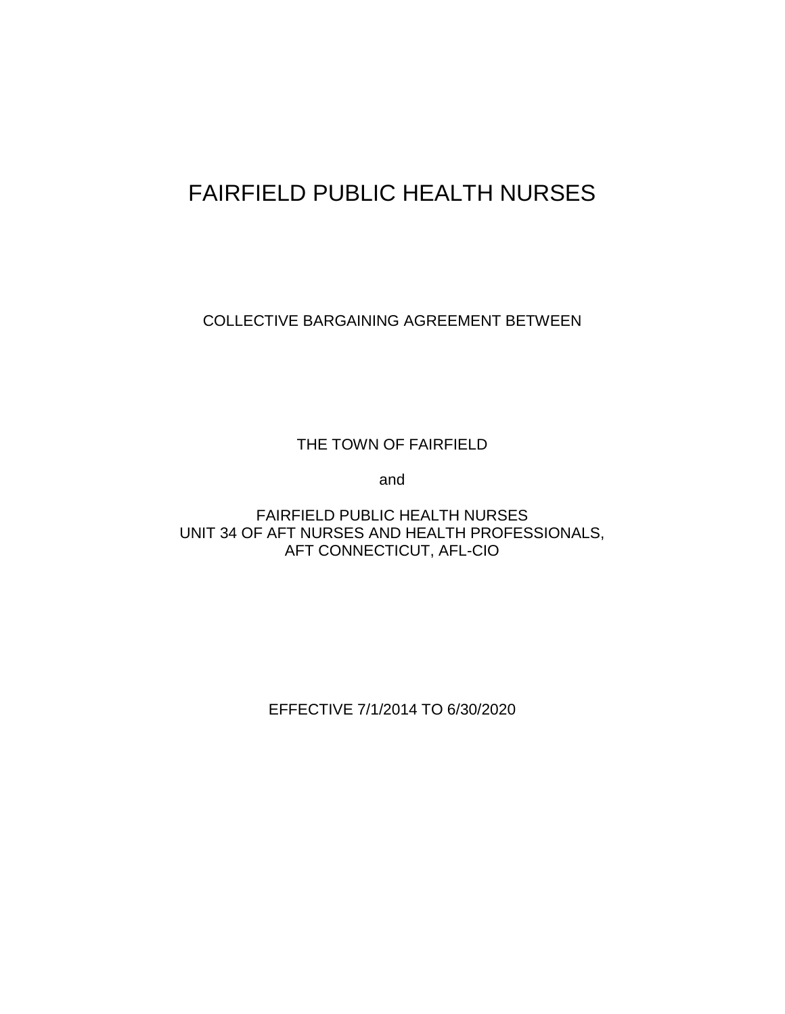# FAIRFIELD PUBLIC HEALTH NURSES

COLLECTIVE BARGAINING AGREEMENT BETWEEN

THE TOWN OF FAIRFIELD

and

FAIRFIELD PUBLIC HEALTH NURSES UNIT 34 OF AFT NURSES AND HEALTH PROFESSIONALS, AFT CONNECTICUT, AFL-CIO

EFFECTIVE 7/1/2014 TO 6/30/2020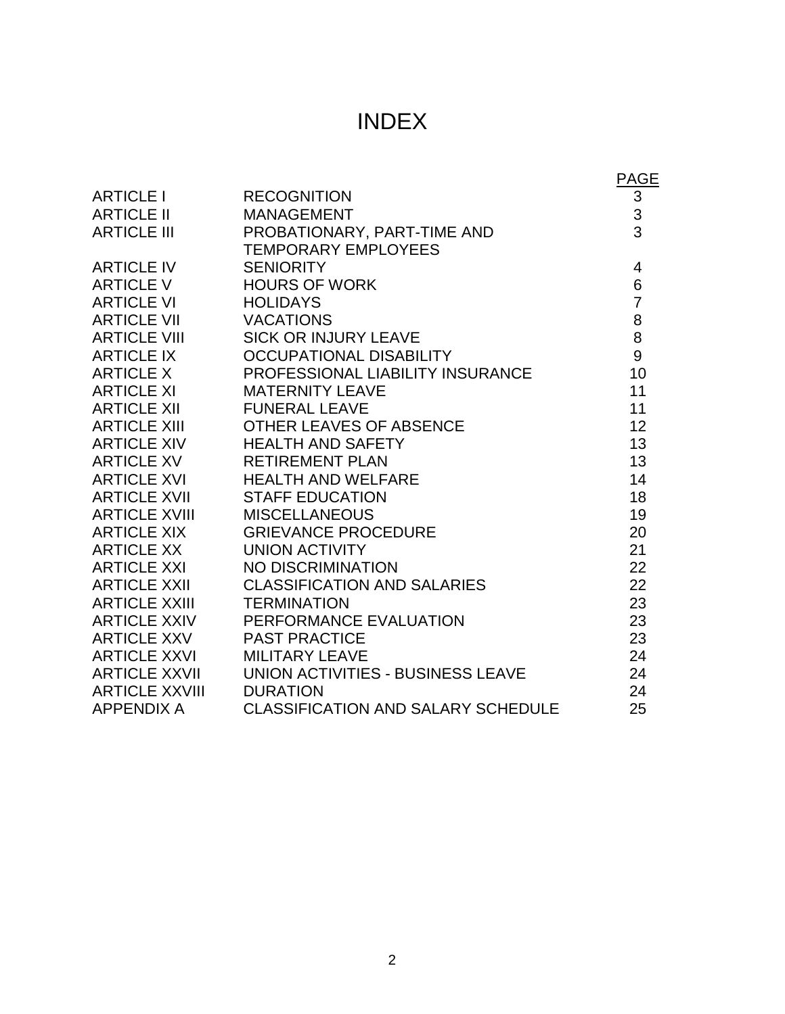# INDEX

|                       |                                           | <b>PAGE</b>    |
|-----------------------|-------------------------------------------|----------------|
| <b>ARTICLE I</b>      | <b>RECOGNITION</b>                        | $\mathbf{3}$   |
| <b>ARTICLE II</b>     | <b>MANAGEMENT</b>                         | $\frac{3}{3}$  |
| <b>ARTICLE III</b>    | PROBATIONARY, PART-TIME AND               |                |
|                       | <b>TEMPORARY EMPLOYEES</b>                |                |
| <b>ARTICLE IV</b>     | <b>SENIORITY</b>                          | 4              |
| <b>ARTICLE V</b>      | <b>HOURS OF WORK</b>                      | 6              |
| <b>ARTICLE VI</b>     | <b>HOLIDAYS</b>                           | $\overline{7}$ |
| <b>ARTICLE VII</b>    | <b>VACATIONS</b>                          | 8              |
| <b>ARTICLE VIII</b>   | <b>SICK OR INJURY LEAVE</b>               | 8              |
| <b>ARTICLE IX</b>     | <b>OCCUPATIONAL DISABILITY</b>            | 9              |
| <b>ARTICLE X</b>      | PROFESSIONAL LIABILITY INSURANCE          | 10             |
| <b>ARTICLE XI</b>     | <b>MATERNITY LEAVE</b>                    | 11             |
| <b>ARTICLE XII</b>    | <b>FUNERAL LEAVE</b>                      | 11             |
| <b>ARTICLE XIII</b>   | OTHER LEAVES OF ABSENCE                   | 12             |
| <b>ARTICLE XIV</b>    | <b>HEALTH AND SAFETY</b>                  | 13             |
| <b>ARTICLE XV</b>     | <b>RETIREMENT PLAN</b>                    | 13             |
| <b>ARTICLE XVI</b>    | <b>HEALTH AND WELFARE</b>                 | 14             |
| <b>ARTICLE XVII</b>   | <b>STAFF EDUCATION</b>                    | 18             |
| <b>ARTICLE XVIII</b>  | <b>MISCELLANEOUS</b>                      | 19             |
| <b>ARTICLE XIX</b>    | <b>GRIEVANCE PROCEDURE</b>                | 20             |
| <b>ARTICLE XX</b>     | <b>UNION ACTIVITY</b>                     | 21             |
| <b>ARTICLE XXI</b>    | <b>NO DISCRIMINATION</b>                  | 22             |
| <b>ARTICLE XXII</b>   | <b>CLASSIFICATION AND SALARIES</b>        | 22             |
| ARTICLE XXIII         | <b>TERMINATION</b>                        | 23             |
| <b>ARTICLE XXIV</b>   | PERFORMANCE EVALUATION                    | 23             |
| ARTICLE XXV           | <b>PAST PRACTICE</b>                      | 23             |
| <b>ARTICLE XXVI</b>   | <b>MILITARY LEAVE</b>                     | 24             |
| <b>ARTICLE XXVII</b>  | UNION ACTIVITIES - BUSINESS LEAVE         | 24             |
| <b>ARTICLE XXVIII</b> | <b>DURATION</b>                           | 24             |
| <b>APPENDIX A</b>     | <b>CLASSIFICATION AND SALARY SCHEDULE</b> | 25             |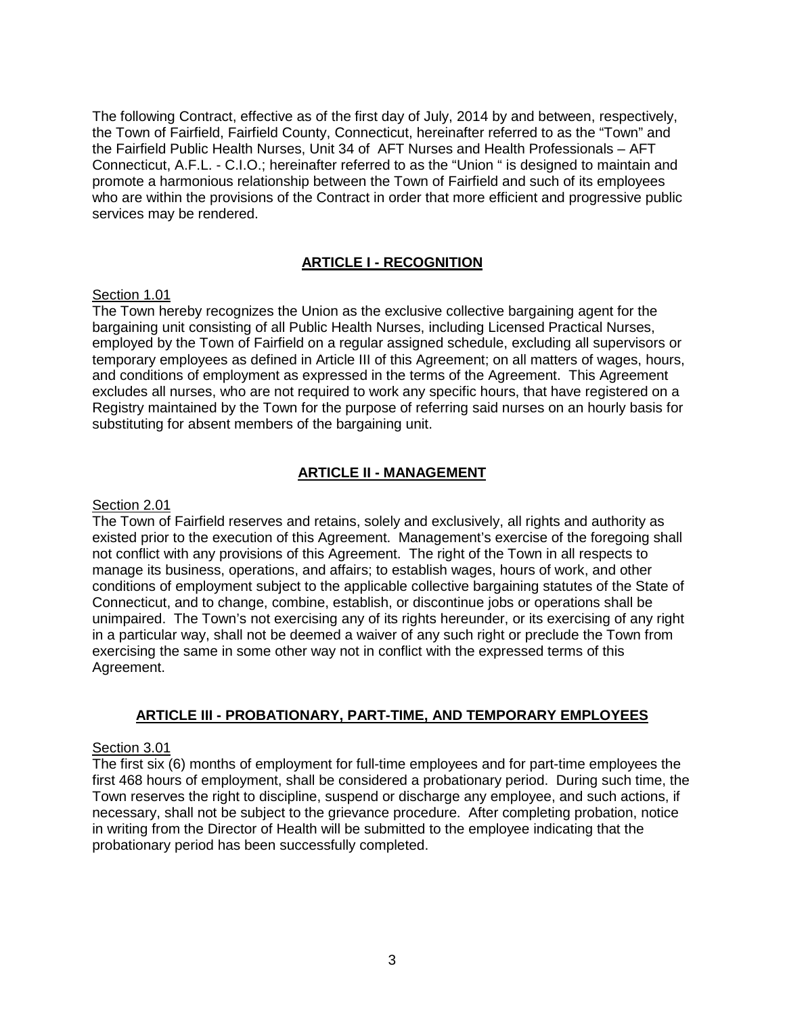The following Contract, effective as of the first day of July, 2014 by and between, respectively, the Town of Fairfield, Fairfield County, Connecticut, hereinafter referred to as the "Town" and the Fairfield Public Health Nurses, Unit 34 of AFT Nurses and Health Professionals – AFT Connecticut, A.F.L. - C.I.O.; hereinafter referred to as the "Union " is designed to maintain and promote a harmonious relationship between the Town of Fairfield and such of its employees who are within the provisions of the Contract in order that more efficient and progressive public services may be rendered.

#### **ARTICLE I - RECOGNITION**

#### Section 1.01

The Town hereby recognizes the Union as the exclusive collective bargaining agent for the bargaining unit consisting of all Public Health Nurses, including Licensed Practical Nurses, employed by the Town of Fairfield on a regular assigned schedule, excluding all supervisors or temporary employees as defined in Article III of this Agreement; on all matters of wages, hours, and conditions of employment as expressed in the terms of the Agreement. This Agreement excludes all nurses, who are not required to work any specific hours, that have registered on a Registry maintained by the Town for the purpose of referring said nurses on an hourly basis for substituting for absent members of the bargaining unit.

#### **ARTICLE II - MANAGEMENT**

#### Section 2.01

The Town of Fairfield reserves and retains, solely and exclusively, all rights and authority as existed prior to the execution of this Agreement. Management's exercise of the foregoing shall not conflict with any provisions of this Agreement. The right of the Town in all respects to manage its business, operations, and affairs; to establish wages, hours of work, and other conditions of employment subject to the applicable collective bargaining statutes of the State of Connecticut, and to change, combine, establish, or discontinue jobs or operations shall be unimpaired. The Town's not exercising any of its rights hereunder, or its exercising of any right in a particular way, shall not be deemed a waiver of any such right or preclude the Town from exercising the same in some other way not in conflict with the expressed terms of this Agreement.

#### **ARTICLE III - PROBATIONARY, PART-TIME, AND TEMPORARY EMPLOYEES**

#### Section 3.01

The first six (6) months of employment for full-time employees and for part-time employees the first 468 hours of employment, shall be considered a probationary period. During such time, the Town reserves the right to discipline, suspend or discharge any employee, and such actions, if necessary, shall not be subject to the grievance procedure. After completing probation, notice in writing from the Director of Health will be submitted to the employee indicating that the probationary period has been successfully completed.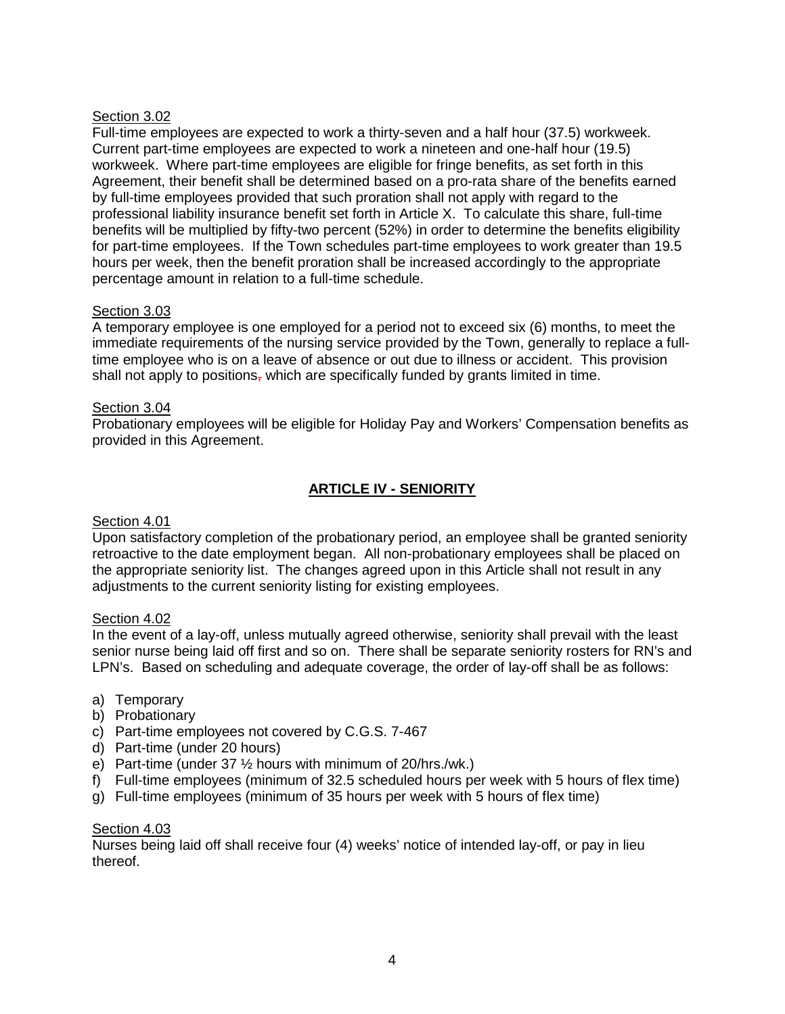#### Section 3.02

Full-time employees are expected to work a thirty-seven and a half hour (37.5) workweek. Current part-time employees are expected to work a nineteen and one-half hour (19.5) workweek. Where part-time employees are eligible for fringe benefits, as set forth in this Agreement, their benefit shall be determined based on a pro-rata share of the benefits earned by full-time employees provided that such proration shall not apply with regard to the professional liability insurance benefit set forth in Article X. To calculate this share, full-time benefits will be multiplied by fifty-two percent (52%) in order to determine the benefits eligibility for part-time employees. If the Town schedules part-time employees to work greater than 19.5 hours per week, then the benefit proration shall be increased accordingly to the appropriate percentage amount in relation to a full-time schedule.

#### Section 3.03

A temporary employee is one employed for a period not to exceed six (6) months, to meet the immediate requirements of the nursing service provided by the Town, generally to replace a fulltime employee who is on a leave of absence or out due to illness or accident. This provision shall not apply to positions, which are specifically funded by grants limited in time.

#### Section 3.04

Probationary employees will be eligible for Holiday Pay and Workers' Compensation benefits as provided in this Agreement.

# **ARTICLE IV - SENIORITY**

#### Section 4.01

Upon satisfactory completion of the probationary period, an employee shall be granted seniority retroactive to the date employment began. All non-probationary employees shall be placed on the appropriate seniority list. The changes agreed upon in this Article shall not result in any adjustments to the current seniority listing for existing employees.

#### Section 4.02

In the event of a lay-off, unless mutually agreed otherwise, seniority shall prevail with the least senior nurse being laid off first and so on. There shall be separate seniority rosters for RN's and LPN's. Based on scheduling and adequate coverage, the order of lay-off shall be as follows:

- a) Temporary
- b) Probationary
- c) Part-time employees not covered by C.G.S. 7-467
- d) Part-time (under 20 hours)
- e) Part-time (under 37 ½ hours with minimum of 20/hrs./wk.)
- f) Full-time employees (minimum of 32.5 scheduled hours per week with 5 hours of flex time)
- g) Full-time employees (minimum of 35 hours per week with 5 hours of flex time)

#### Section 4.03

Nurses being laid off shall receive four (4) weeks' notice of intended lay-off, or pay in lieu thereof.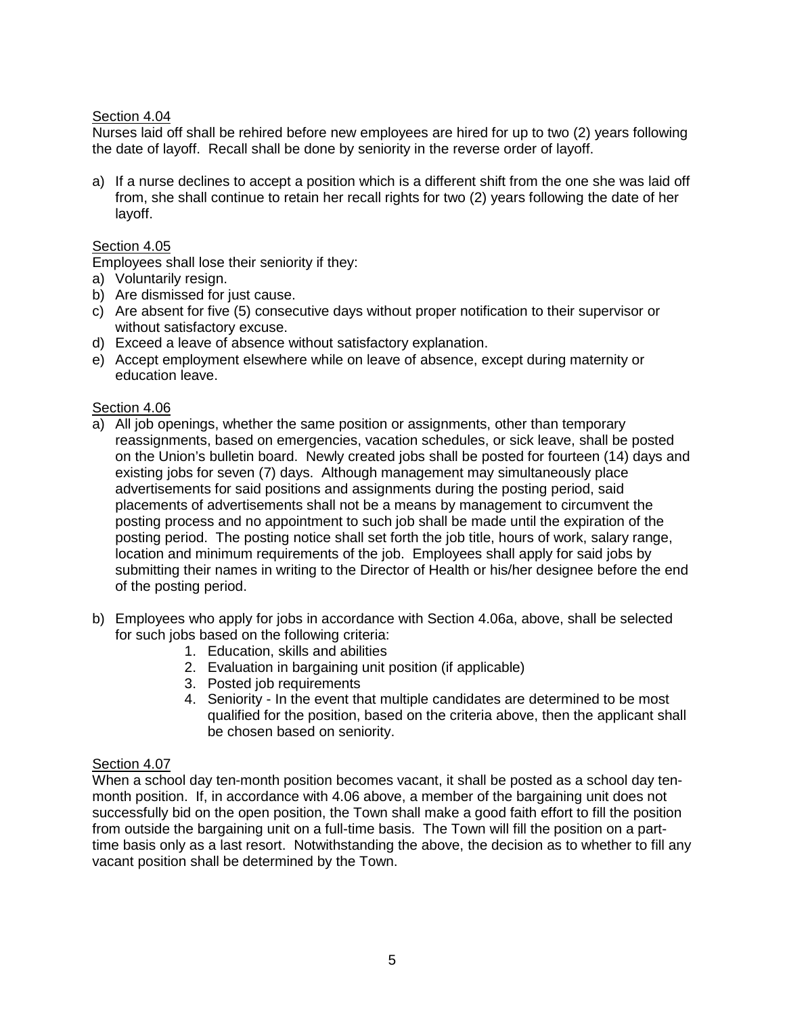#### Section 4.04

Nurses laid off shall be rehired before new employees are hired for up to two (2) years following the date of layoff. Recall shall be done by seniority in the reverse order of layoff.

a) If a nurse declines to accept a position which is a different shift from the one she was laid off from, she shall continue to retain her recall rights for two (2) years following the date of her layoff.

#### Section 4.05

Employees shall lose their seniority if they:

- a) Voluntarily resign.
- b) Are dismissed for just cause.
- c) Are absent for five (5) consecutive days without proper notification to their supervisor or without satisfactory excuse.
- d) Exceed a leave of absence without satisfactory explanation.
- e) Accept employment elsewhere while on leave of absence, except during maternity or education leave.

#### Section 4.06

- a) All job openings, whether the same position or assignments, other than temporary reassignments, based on emergencies, vacation schedules, or sick leave, shall be posted on the Union's bulletin board. Newly created jobs shall be posted for fourteen (14) days and existing jobs for seven (7) days. Although management may simultaneously place advertisements for said positions and assignments during the posting period, said placements of advertisements shall not be a means by management to circumvent the posting process and no appointment to such job shall be made until the expiration of the posting period. The posting notice shall set forth the job title, hours of work, salary range, location and minimum requirements of the job. Employees shall apply for said jobs by submitting their names in writing to the Director of Health or his/her designee before the end of the posting period.
- b) Employees who apply for jobs in accordance with Section 4.06a, above, shall be selected for such jobs based on the following criteria:
	- 1. Education, skills and abilities
	- 2. Evaluation in bargaining unit position (if applicable)
	- 3. Posted job requirements
	- 4. Seniority In the event that multiple candidates are determined to be most qualified for the position, based on the criteria above, then the applicant shall be chosen based on seniority.

#### Section 4.07

When a school day ten-month position becomes vacant, it shall be posted as a school day tenmonth position. If, in accordance with 4.06 above, a member of the bargaining unit does not successfully bid on the open position, the Town shall make a good faith effort to fill the position from outside the bargaining unit on a full-time basis. The Town will fill the position on a parttime basis only as a last resort. Notwithstanding the above, the decision as to whether to fill any vacant position shall be determined by the Town.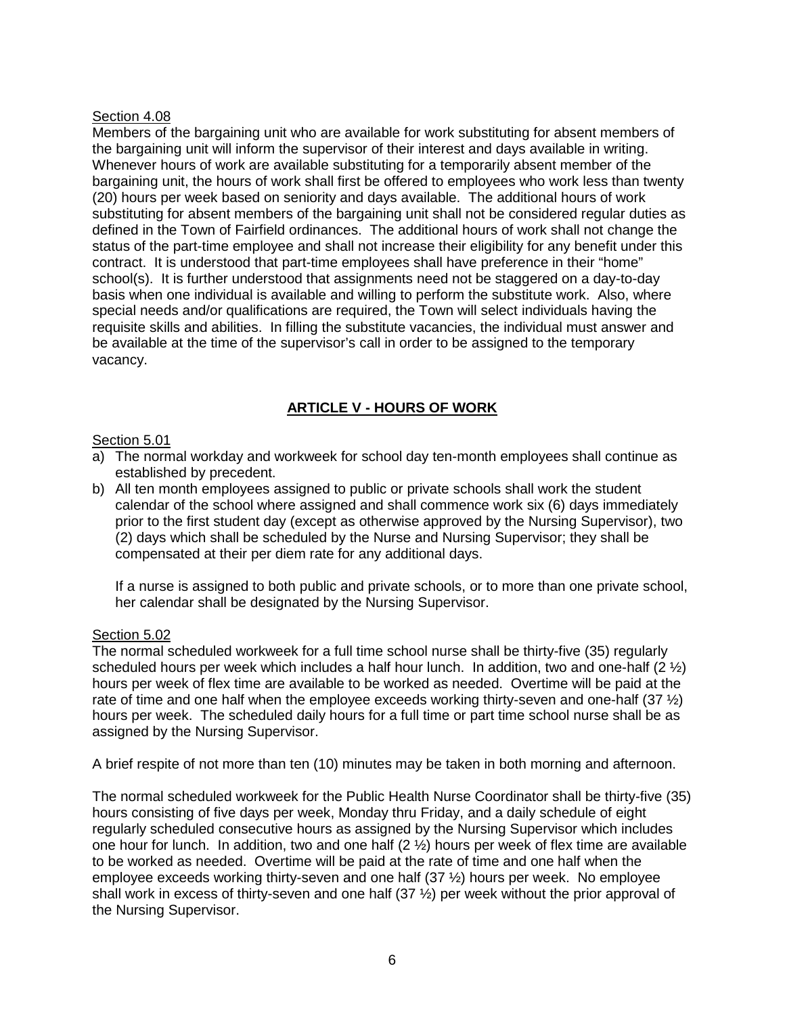#### Section 4.08

Members of the bargaining unit who are available for work substituting for absent members of the bargaining unit will inform the supervisor of their interest and days available in writing. Whenever hours of work are available substituting for a temporarily absent member of the bargaining unit, the hours of work shall first be offered to employees who work less than twenty (20) hours per week based on seniority and days available. The additional hours of work substituting for absent members of the bargaining unit shall not be considered regular duties as defined in the Town of Fairfield ordinances. The additional hours of work shall not change the status of the part-time employee and shall not increase their eligibility for any benefit under this contract. It is understood that part-time employees shall have preference in their "home" school(s). It is further understood that assignments need not be staggered on a day-to-day basis when one individual is available and willing to perform the substitute work. Also, where special needs and/or qualifications are required, the Town will select individuals having the requisite skills and abilities. In filling the substitute vacancies, the individual must answer and be available at the time of the supervisor's call in order to be assigned to the temporary vacancy.

# **ARTICLE V - HOURS OF WORK**

#### Section 5.01

- a) The normal workday and workweek for school day ten-month employees shall continue as established by precedent.
- b) All ten month employees assigned to public or private schools shall work the student calendar of the school where assigned and shall commence work six (6) days immediately prior to the first student day (except as otherwise approved by the Nursing Supervisor), two (2) days which shall be scheduled by the Nurse and Nursing Supervisor; they shall be compensated at their per diem rate for any additional days.

If a nurse is assigned to both public and private schools, or to more than one private school, her calendar shall be designated by the Nursing Supervisor.

#### Section 5.02

The normal scheduled workweek for a full time school nurse shall be thirty-five (35) regularly scheduled hours per week which includes a half hour lunch. In addition, two and one-half  $(2 \frac{1}{2})$ hours per week of flex time are available to be worked as needed. Overtime will be paid at the rate of time and one half when the employee exceeds working thirty-seven and one-half (37  $\frac{1}{2}$ ) hours per week. The scheduled daily hours for a full time or part time school nurse shall be as assigned by the Nursing Supervisor.

A brief respite of not more than ten (10) minutes may be taken in both morning and afternoon.

The normal scheduled workweek for the Public Health Nurse Coordinator shall be thirty-five (35) hours consisting of five days per week, Monday thru Friday, and a daily schedule of eight regularly scheduled consecutive hours as assigned by the Nursing Supervisor which includes one hour for lunch. In addition, two and one half (2 ½) hours per week of flex time are available to be worked as needed. Overtime will be paid at the rate of time and one half when the employee exceeds working thirty-seven and one half (37 ½) hours per week. No employee shall work in excess of thirty-seven and one half  $(37 \frac{1}{2})$  per week without the prior approval of the Nursing Supervisor.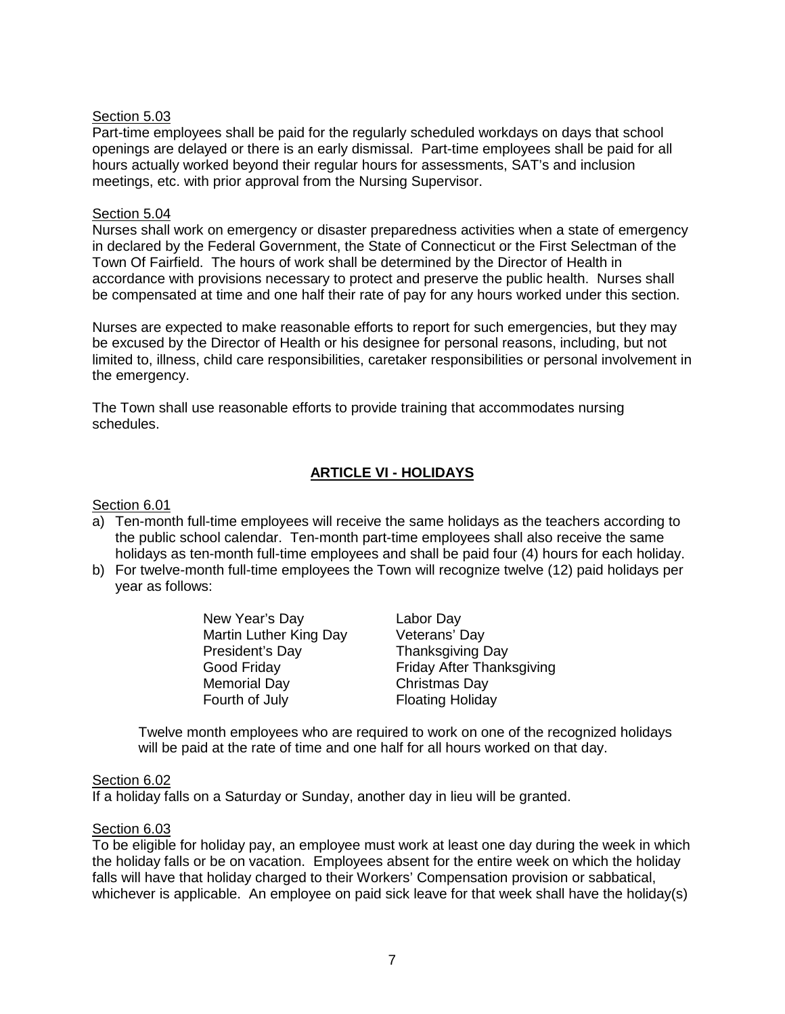#### Section 5.03

Part-time employees shall be paid for the regularly scheduled workdays on days that school openings are delayed or there is an early dismissal. Part-time employees shall be paid for all hours actually worked beyond their regular hours for assessments, SAT's and inclusion meetings, etc. with prior approval from the Nursing Supervisor.

#### Section 5.04

Nurses shall work on emergency or disaster preparedness activities when a state of emergency in declared by the Federal Government, the State of Connecticut or the First Selectman of the Town Of Fairfield. The hours of work shall be determined by the Director of Health in accordance with provisions necessary to protect and preserve the public health. Nurses shall be compensated at time and one half their rate of pay for any hours worked under this section.

Nurses are expected to make reasonable efforts to report for such emergencies, but they may be excused by the Director of Health or his designee for personal reasons, including, but not limited to, illness, child care responsibilities, caretaker responsibilities or personal involvement in the emergency.

The Town shall use reasonable efforts to provide training that accommodates nursing schedules.

#### **ARTICLE VI - HOLIDAYS**

#### Section 6.01

- a) Ten-month full-time employees will receive the same holidays as the teachers according to the public school calendar. Ten-month part-time employees shall also receive the same holidays as ten-month full-time employees and shall be paid four (4) hours for each holiday.
- b) For twelve-month full-time employees the Town will recognize twelve (12) paid holidays per year as follows:
	- New Year's Day<br>
	Martin Luther King Day Veterans' Day Martin Luther King Day President's Day **Thanksgiving Day** Memorial Day Fourth of July Floating Holiday

Good Friday **Friday After Thanksgiving**<br>
Memorial Day **Friday Christmas** Day

Twelve month employees who are required to work on one of the recognized holidays will be paid at the rate of time and one half for all hours worked on that day.

#### Section 6.02

If a holiday falls on a Saturday or Sunday, another day in lieu will be granted.

#### Section 6.03

To be eligible for holiday pay, an employee must work at least one day during the week in which the holiday falls or be on vacation. Employees absent for the entire week on which the holiday falls will have that holiday charged to their Workers' Compensation provision or sabbatical, whichever is applicable. An employee on paid sick leave for that week shall have the holiday(s)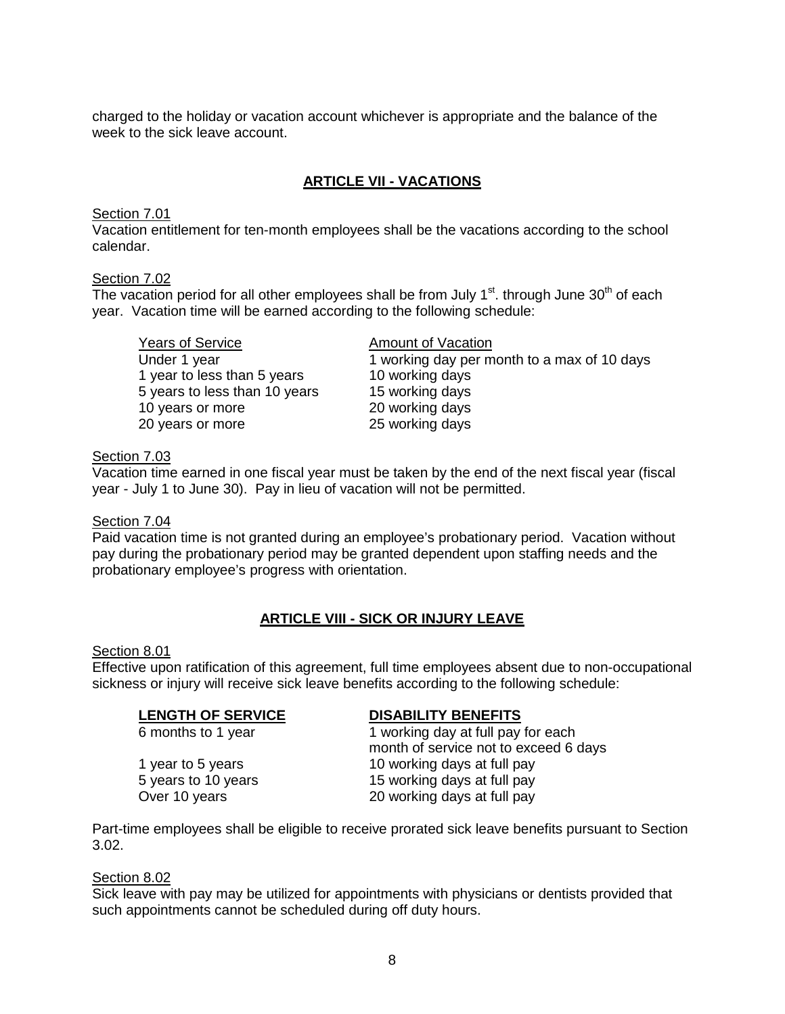charged to the holiday or vacation account whichever is appropriate and the balance of the week to the sick leave account.

#### **ARTICLE VII - VACATIONS**

#### Section 7.01

Vacation entitlement for ten-month employees shall be the vacations according to the school calendar.

#### Section 7.02

The vacation period for all other employees shall be from July  $1<sup>st</sup>$ . through June 30<sup>th</sup> of each year. Vacation time will be earned according to the following schedule:

Years of Service Amount of Vacation 1 year to less than 5 years 5 years to less than 10 years 15 working days 10 years or more<br>
20 years or more<br>
25 working days 20 years or more

1 working day per month to a max of 10 days<br>10 working days

#### Section 7.03

Vacation time earned in one fiscal year must be taken by the end of the next fiscal year (fiscal year - July 1 to June 30). Pay in lieu of vacation will not be permitted.

#### Section 7.04

Paid vacation time is not granted during an employee's probationary period. Vacation without pay during the probationary period may be granted dependent upon staffing needs and the probationary employee's progress with orientation.

#### **ARTICLE VIII - SICK OR INJURY LEAVE**

#### Section 8.01

Effective upon ratification of this agreement, full time employees absent due to non-occupational sickness or injury will receive sick leave benefits according to the following schedule:

**LENGTH OF SERVICE**<br>
6 months to 1 year **DISABILITY BENEFITS**<br>
1 working day at full pay 1 working day at full pay for each month of service not to exceed 6 days 1 year to 5 years 10 working days at full pay 5 years to 10 years 15 working days at full pay Over 10 years 20 working days at full pay

Part-time employees shall be eligible to receive prorated sick leave benefits pursuant to Section 3.02.

#### Section 8.02

Sick leave with pay may be utilized for appointments with physicians or dentists provided that such appointments cannot be scheduled during off duty hours.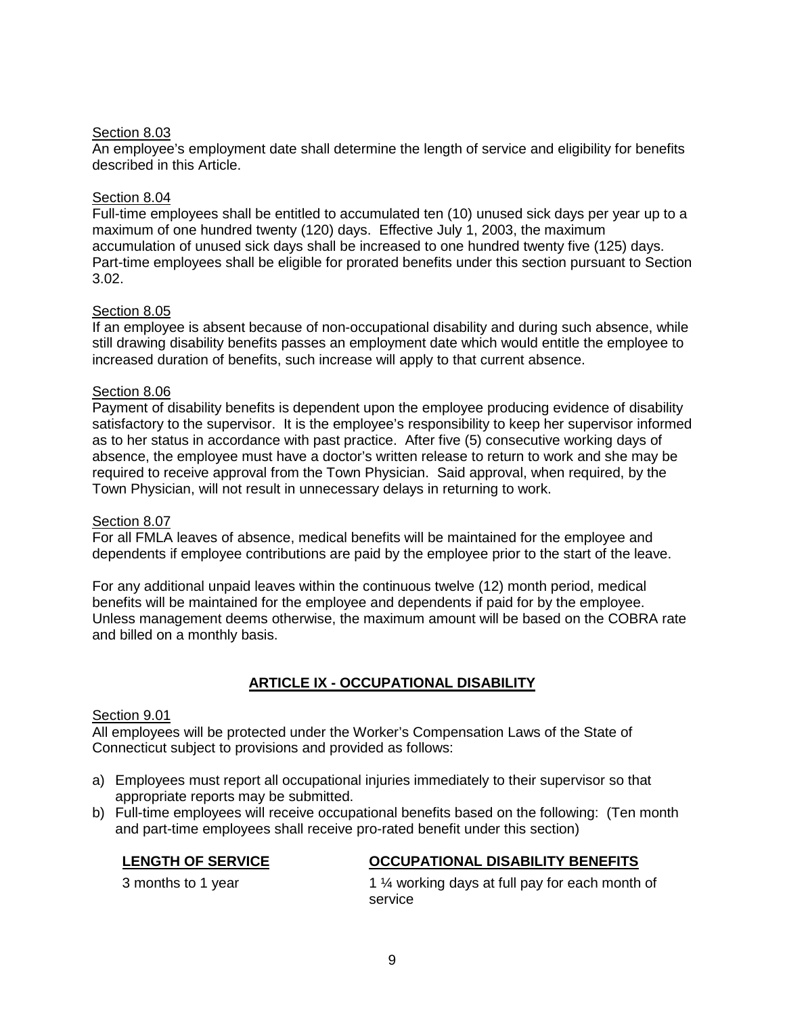#### Section 8.03

An employee's employment date shall determine the length of service and eligibility for benefits described in this Article.

#### Section 8.04

Full-time employees shall be entitled to accumulated ten (10) unused sick days per year up to a maximum of one hundred twenty (120) days. Effective July 1, 2003, the maximum accumulation of unused sick days shall be increased to one hundred twenty five (125) days. Part-time employees shall be eligible for prorated benefits under this section pursuant to Section 3.02.

#### Section 8.05

If an employee is absent because of non-occupational disability and during such absence, while still drawing disability benefits passes an employment date which would entitle the employee to increased duration of benefits, such increase will apply to that current absence.

#### Section 8.06

Payment of disability benefits is dependent upon the employee producing evidence of disability satisfactory to the supervisor. It is the employee's responsibility to keep her supervisor informed as to her status in accordance with past practice. After five (5) consecutive working days of absence, the employee must have a doctor's written release to return to work and she may be required to receive approval from the Town Physician. Said approval, when required, by the Town Physician, will not result in unnecessary delays in returning to work.

#### Section 8.07

For all FMLA leaves of absence, medical benefits will be maintained for the employee and dependents if employee contributions are paid by the employee prior to the start of the leave.

For any additional unpaid leaves within the continuous twelve (12) month period, medical benefits will be maintained for the employee and dependents if paid for by the employee. Unless management deems otherwise, the maximum amount will be based on the COBRA rate and billed on a monthly basis.

## **ARTICLE IX - OCCUPATIONAL DISABILITY**

#### Section 9.01

All employees will be protected under the Worker's Compensation Laws of the State of Connecticut subject to provisions and provided as follows:

- a) Employees must report all occupational injuries immediately to their supervisor so that appropriate reports may be submitted.
- b) Full-time employees will receive occupational benefits based on the following: (Ten month and part-time employees shall receive pro-rated benefit under this section)

## **LENGTH OF SERVICE OCCUPATIONAL DISABILITY BENEFITS**

3 months to 1 year 1 % working days at full pay for each month of service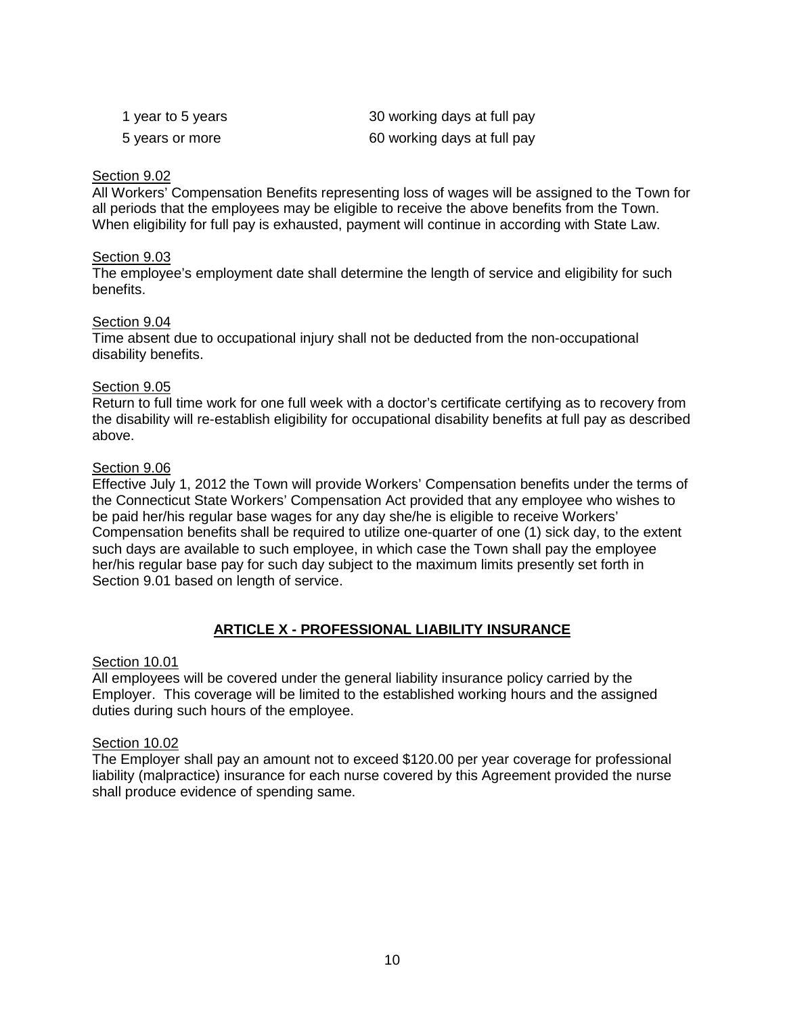| 1 year to 5 years | 30 working days at full pay |
|-------------------|-----------------------------|
| 5 years or more   | 60 working days at full pay |

#### Section 9.02

All Workers' Compensation Benefits representing loss of wages will be assigned to the Town for all periods that the employees may be eligible to receive the above benefits from the Town. When eligibility for full pay is exhausted, payment will continue in according with State Law.

#### Section 9.03

The employee's employment date shall determine the length of service and eligibility for such benefits.

#### Section 9.04

Time absent due to occupational injury shall not be deducted from the non-occupational disability benefits.

#### Section 9.05

Return to full time work for one full week with a doctor's certificate certifying as to recovery from the disability will re-establish eligibility for occupational disability benefits at full pay as described above.

#### Section 9.06

Effective July 1, 2012 the Town will provide Workers' Compensation benefits under the terms of the Connecticut State Workers' Compensation Act provided that any employee who wishes to be paid her/his regular base wages for any day she/he is eligible to receive Workers' Compensation benefits shall be required to utilize one-quarter of one (1) sick day, to the extent such days are available to such employee, in which case the Town shall pay the employee her/his regular base pay for such day subject to the maximum limits presently set forth in Section 9.01 based on length of service.

## **ARTICLE X - PROFESSIONAL LIABILITY INSURANCE**

#### Section 10.01

All employees will be covered under the general liability insurance policy carried by the Employer. This coverage will be limited to the established working hours and the assigned duties during such hours of the employee.

#### Section 10.02

The Employer shall pay an amount not to exceed \$120.00 per year coverage for professional liability (malpractice) insurance for each nurse covered by this Agreement provided the nurse shall produce evidence of spending same.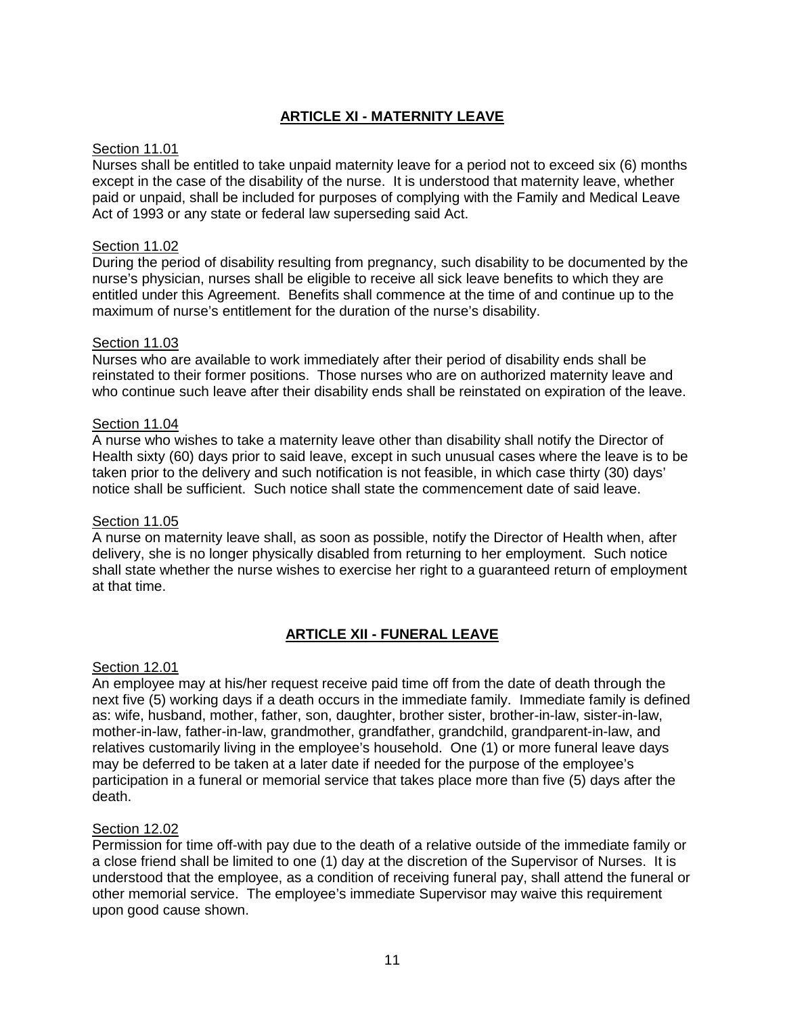# **ARTICLE XI - MATERNITY LEAVE**

#### Section 11.01

Nurses shall be entitled to take unpaid maternity leave for a period not to exceed six (6) months except in the case of the disability of the nurse. It is understood that maternity leave, whether paid or unpaid, shall be included for purposes of complying with the Family and Medical Leave Act of 1993 or any state or federal law superseding said Act.

#### Section 11.02

During the period of disability resulting from pregnancy, such disability to be documented by the nurse's physician, nurses shall be eligible to receive all sick leave benefits to which they are entitled under this Agreement. Benefits shall commence at the time of and continue up to the maximum of nurse's entitlement for the duration of the nurse's disability.

#### Section 11.03

Nurses who are available to work immediately after their period of disability ends shall be reinstated to their former positions. Those nurses who are on authorized maternity leave and who continue such leave after their disability ends shall be reinstated on expiration of the leave.

#### Section 11.04

A nurse who wishes to take a maternity leave other than disability shall notify the Director of Health sixty (60) days prior to said leave, except in such unusual cases where the leave is to be taken prior to the delivery and such notification is not feasible, in which case thirty (30) days' notice shall be sufficient. Such notice shall state the commencement date of said leave.

#### Section 11.05

A nurse on maternity leave shall, as soon as possible, notify the Director of Health when, after delivery, she is no longer physically disabled from returning to her employment. Such notice shall state whether the nurse wishes to exercise her right to a guaranteed return of employment at that time.

## **ARTICLE XII - FUNERAL LEAVE**

#### Section 12.01

An employee may at his/her request receive paid time off from the date of death through the next five (5) working days if a death occurs in the immediate family. Immediate family is defined as: wife, husband, mother, father, son, daughter, brother sister, brother-in-law, sister-in-law, mother-in-law, father-in-law, grandmother, grandfather, grandchild, grandparent-in-law, and relatives customarily living in the employee's household. One (1) or more funeral leave days may be deferred to be taken at a later date if needed for the purpose of the employee's participation in a funeral or memorial service that takes place more than five (5) days after the death.

#### Section 12.02

Permission for time off-with pay due to the death of a relative outside of the immediate family or a close friend shall be limited to one (1) day at the discretion of the Supervisor of Nurses. It is understood that the employee, as a condition of receiving funeral pay, shall attend the funeral or other memorial service. The employee's immediate Supervisor may waive this requirement upon good cause shown.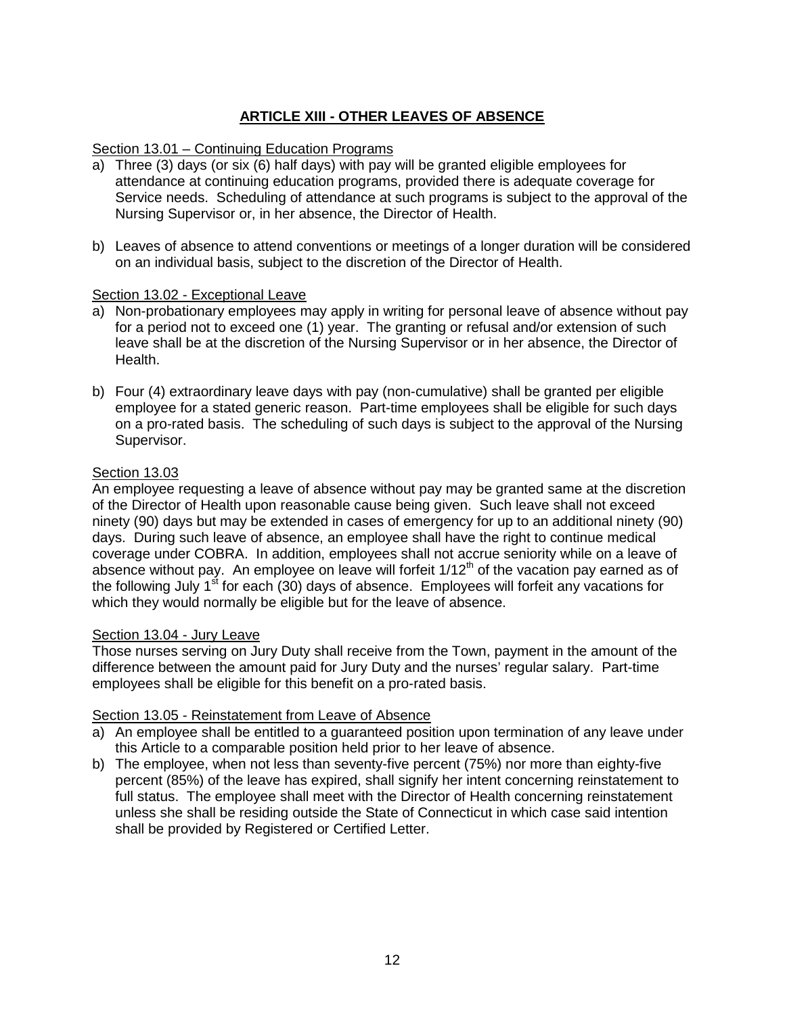# **ARTICLE XIII - OTHER LEAVES OF ABSENCE**

#### Section 13.01 – Continuing Education Programs

- a) Three (3) days (or six (6) half days) with pay will be granted eligible employees for attendance at continuing education programs, provided there is adequate coverage for Service needs. Scheduling of attendance at such programs is subject to the approval of the Nursing Supervisor or, in her absence, the Director of Health.
- b) Leaves of absence to attend conventions or meetings of a longer duration will be considered on an individual basis, subject to the discretion of the Director of Health.

#### Section 13.02 - Exceptional Leave

- a) Non-probationary employees may apply in writing for personal leave of absence without pay for a period not to exceed one (1) year. The granting or refusal and/or extension of such leave shall be at the discretion of the Nursing Supervisor or in her absence, the Director of Health.
- b) Four (4) extraordinary leave days with pay (non-cumulative) shall be granted per eligible employee for a stated generic reason. Part-time employees shall be eligible for such days on a pro-rated basis. The scheduling of such days is subject to the approval of the Nursing Supervisor.

#### Section 13.03

An employee requesting a leave of absence without pay may be granted same at the discretion of the Director of Health upon reasonable cause being given. Such leave shall not exceed ninety (90) days but may be extended in cases of emergency for up to an additional ninety (90) days. During such leave of absence, an employee shall have the right to continue medical coverage under COBRA. In addition, employees shall not accrue seniority while on a leave of absence without pay. An employee on leave will forfeit  $1/12<sup>th</sup>$  of the vacation pay earned as of the following July  $1<sup>st</sup>$  for each (30) days of absence. Employees will forfeit any vacations for which they would normally be eligible but for the leave of absence.

#### Section 13.04 - Jury Leave

Those nurses serving on Jury Duty shall receive from the Town, payment in the amount of the difference between the amount paid for Jury Duty and the nurses' regular salary. Part-time employees shall be eligible for this benefit on a pro-rated basis.

#### Section 13.05 - Reinstatement from Leave of Absence

- a) An employee shall be entitled to a guaranteed position upon termination of any leave under this Article to a comparable position held prior to her leave of absence.
- b) The employee, when not less than seventy-five percent (75%) nor more than eighty-five percent (85%) of the leave has expired, shall signify her intent concerning reinstatement to full status. The employee shall meet with the Director of Health concerning reinstatement unless she shall be residing outside the State of Connecticut in which case said intention shall be provided by Registered or Certified Letter.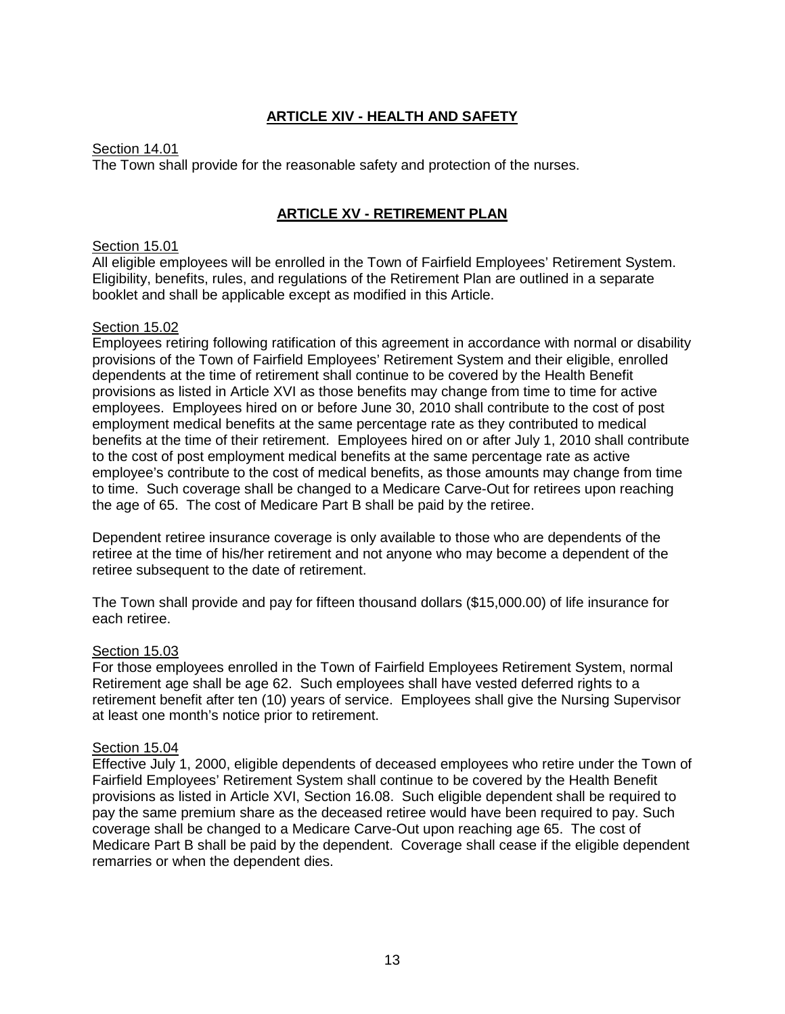# **ARTICLE XIV - HEALTH AND SAFETY**

#### Section 14.01

The Town shall provide for the reasonable safety and protection of the nurses.

#### **ARTICLE XV - RETIREMENT PLAN**

#### Section 15.01

All eligible employees will be enrolled in the Town of Fairfield Employees' Retirement System. Eligibility, benefits, rules, and regulations of the Retirement Plan are outlined in a separate booklet and shall be applicable except as modified in this Article.

#### Section 15.02

Employees retiring following ratification of this agreement in accordance with normal or disability provisions of the Town of Fairfield Employees' Retirement System and their eligible, enrolled dependents at the time of retirement shall continue to be covered by the Health Benefit provisions as listed in Article XVI as those benefits may change from time to time for active employees. Employees hired on or before June 30, 2010 shall contribute to the cost of post employment medical benefits at the same percentage rate as they contributed to medical benefits at the time of their retirement. Employees hired on or after July 1, 2010 shall contribute to the cost of post employment medical benefits at the same percentage rate as active employee's contribute to the cost of medical benefits, as those amounts may change from time to time. Such coverage shall be changed to a Medicare Carve-Out for retirees upon reaching the age of 65. The cost of Medicare Part B shall be paid by the retiree.

Dependent retiree insurance coverage is only available to those who are dependents of the retiree at the time of his/her retirement and not anyone who may become a dependent of the retiree subsequent to the date of retirement.

The Town shall provide and pay for fifteen thousand dollars (\$15,000.00) of life insurance for each retiree.

#### Section 15.03

For those employees enrolled in the Town of Fairfield Employees Retirement System, normal Retirement age shall be age 62. Such employees shall have vested deferred rights to a retirement benefit after ten (10) years of service. Employees shall give the Nursing Supervisor at least one month's notice prior to retirement.

#### Section 15.04

Effective July 1, 2000, eligible dependents of deceased employees who retire under the Town of Fairfield Employees' Retirement System shall continue to be covered by the Health Benefit provisions as listed in Article XVI, Section 16.08. Such eligible dependent shall be required to pay the same premium share as the deceased retiree would have been required to pay. Such coverage shall be changed to a Medicare Carve-Out upon reaching age 65. The cost of Medicare Part B shall be paid by the dependent. Coverage shall cease if the eligible dependent remarries or when the dependent dies.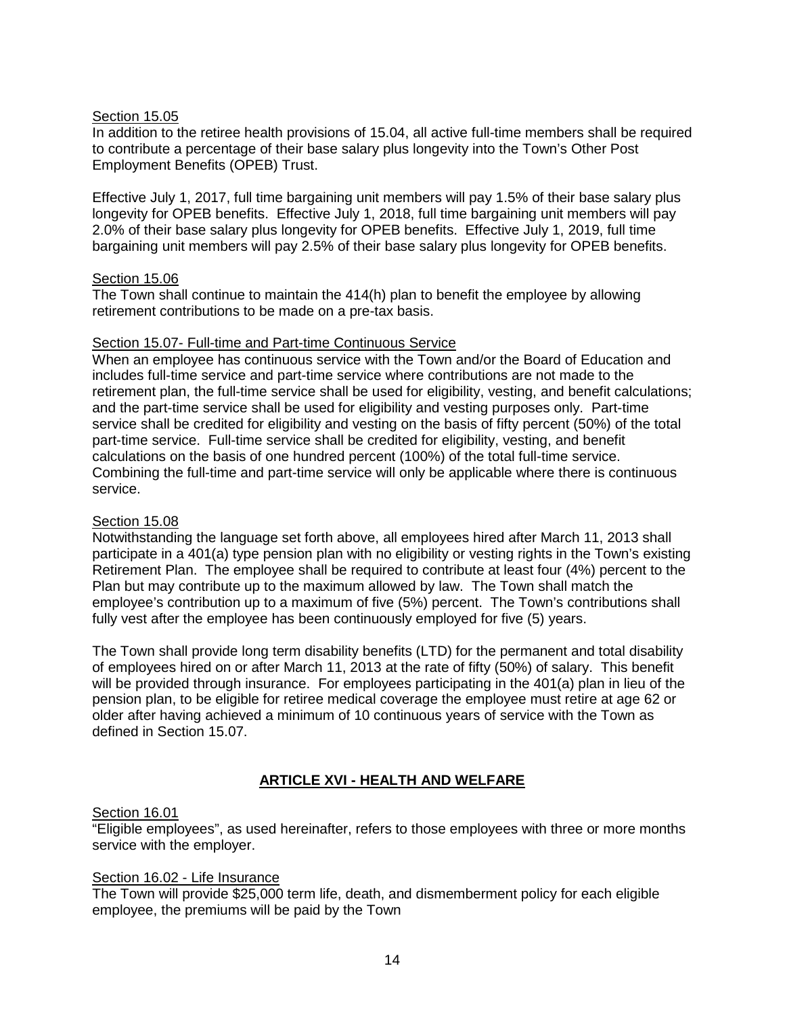#### Section 15.05

In addition to the retiree health provisions of 15.04, all active full-time members shall be required to contribute a percentage of their base salary plus longevity into the Town's Other Post Employment Benefits (OPEB) Trust.

Effective July 1, 2017, full time bargaining unit members will pay 1.5% of their base salary plus longevity for OPEB benefits. Effective July 1, 2018, full time bargaining unit members will pay 2.0% of their base salary plus longevity for OPEB benefits. Effective July 1, 2019, full time bargaining unit members will pay 2.5% of their base salary plus longevity for OPEB benefits.

#### Section 15.06

The Town shall continue to maintain the 414(h) plan to benefit the employee by allowing retirement contributions to be made on a pre-tax basis.

#### Section 15.07- Full-time and Part-time Continuous Service

When an employee has continuous service with the Town and/or the Board of Education and includes full-time service and part-time service where contributions are not made to the retirement plan, the full-time service shall be used for eligibility, vesting, and benefit calculations; and the part-time service shall be used for eligibility and vesting purposes only. Part-time service shall be credited for eligibility and vesting on the basis of fifty percent (50%) of the total part-time service. Full-time service shall be credited for eligibility, vesting, and benefit calculations on the basis of one hundred percent (100%) of the total full-time service. Combining the full-time and part-time service will only be applicable where there is continuous service.

#### Section 15.08

Notwithstanding the language set forth above, all employees hired after March 11, 2013 shall participate in a 401(a) type pension plan with no eligibility or vesting rights in the Town's existing Retirement Plan. The employee shall be required to contribute at least four (4%) percent to the Plan but may contribute up to the maximum allowed by law. The Town shall match the employee's contribution up to a maximum of five (5%) percent. The Town's contributions shall fully vest after the employee has been continuously employed for five (5) years.

The Town shall provide long term disability benefits (LTD) for the permanent and total disability of employees hired on or after March 11, 2013 at the rate of fifty (50%) of salary. This benefit will be provided through insurance. For employees participating in the 401(a) plan in lieu of the pension plan, to be eligible for retiree medical coverage the employee must retire at age 62 or older after having achieved a minimum of 10 continuous years of service with the Town as defined in Section 15.07.

#### **ARTICLE XVI - HEALTH AND WELFARE**

#### Section 16.01

"Eligible employees", as used hereinafter, refers to those employees with three or more months service with the employer.

#### Section 16.02 - Life Insurance

The Town will provide \$25,000 term life, death, and dismemberment policy for each eligible employee, the premiums will be paid by the Town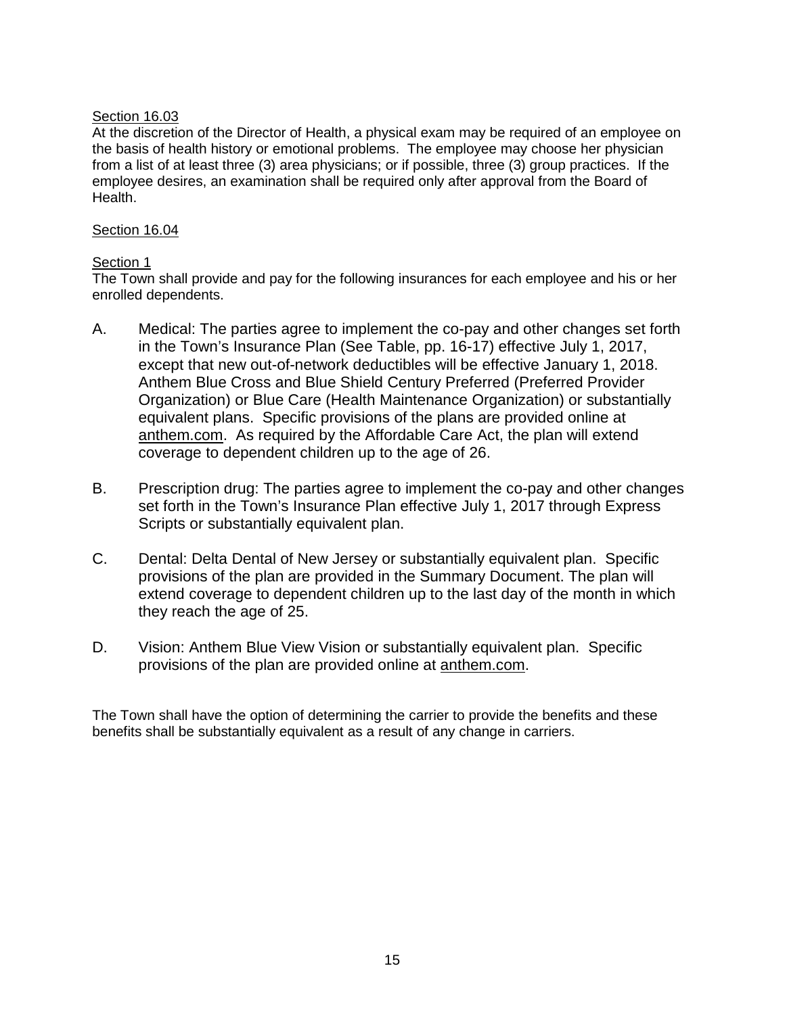#### Section 16.03

At the discretion of the Director of Health, a physical exam may be required of an employee on the basis of health history or emotional problems. The employee may choose her physician from a list of at least three (3) area physicians; or if possible, three (3) group practices. If the employee desires, an examination shall be required only after approval from the Board of Health.

#### Section 16.04

# Section 1

The Town shall provide and pay for the following insurances for each employee and his or her enrolled dependents.

- A. Medical: The parties agree to implement the co-pay and other changes set forth in the Town's Insurance Plan (See Table, pp. 16-17) effective July 1, 2017, except that new out-of-network deductibles will be effective January 1, 2018. Anthem Blue Cross and Blue Shield Century Preferred (Preferred Provider Organization) or Blue Care (Health Maintenance Organization) or substantially equivalent plans. Specific provisions of the plans are provided online at anthem.com. As required by the Affordable Care Act, the plan will extend coverage to dependent children up to the age of 26.
- B. Prescription drug: The parties agree to implement the co-pay and other changes set forth in the Town's Insurance Plan effective July 1, 2017 through Express Scripts or substantially equivalent plan.
- C. Dental: Delta Dental of New Jersey or substantially equivalent plan. Specific provisions of the plan are provided in the Summary Document. The plan will extend coverage to dependent children up to the last day of the month in which they reach the age of 25.
- D. Vision: Anthem Blue View Vision or substantially equivalent plan. Specific provisions of the plan are provided online at anthem.com.

The Town shall have the option of determining the carrier to provide the benefits and these benefits shall be substantially equivalent as a result of any change in carriers.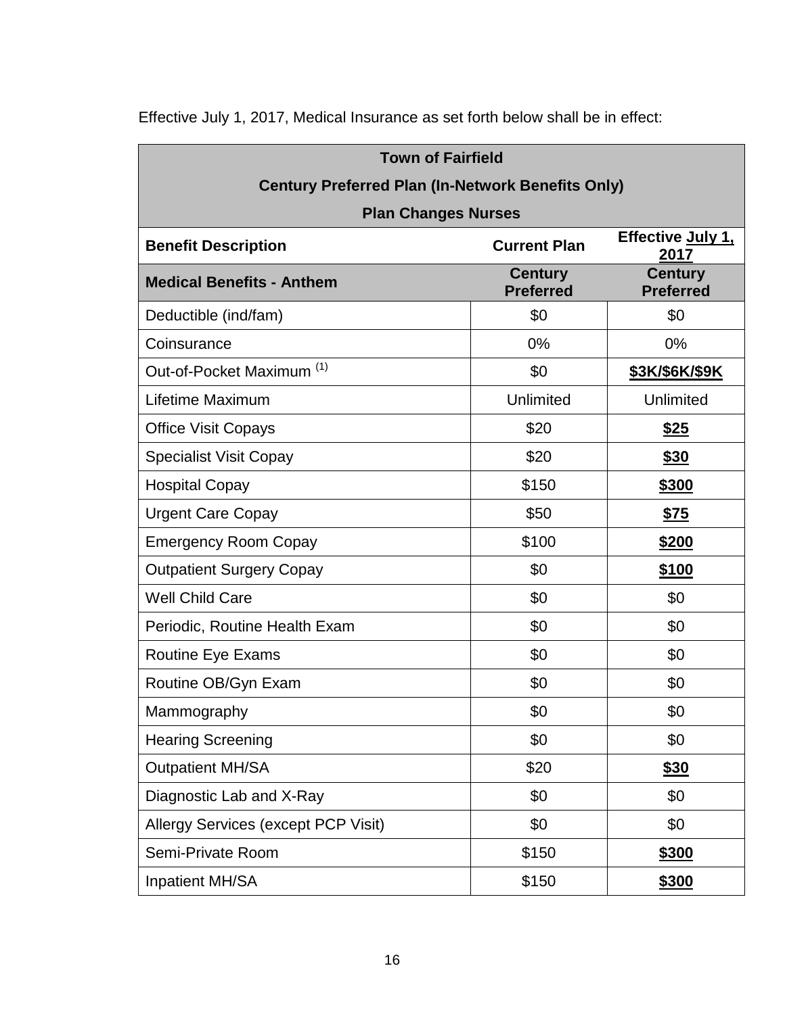| <b>Town of Fairfield</b>                                 |                                                           |                                    |  |  |  |  |  |
|----------------------------------------------------------|-----------------------------------------------------------|------------------------------------|--|--|--|--|--|
| <b>Century Preferred Plan (In-Network Benefits Only)</b> |                                                           |                                    |  |  |  |  |  |
| <b>Plan Changes Nurses</b>                               |                                                           | Effective July 1,                  |  |  |  |  |  |
|                                                          | <b>Benefit Description</b><br><b>Current Plan</b><br>2017 |                                    |  |  |  |  |  |
| <b>Medical Benefits - Anthem</b>                         | <b>Century</b><br><b>Preferred</b>                        | <b>Century</b><br><b>Preferred</b> |  |  |  |  |  |
| Deductible (ind/fam)                                     | \$0                                                       | \$0                                |  |  |  |  |  |
| Coinsurance                                              | 0%                                                        | 0%                                 |  |  |  |  |  |
| Out-of-Pocket Maximum <sup>(1)</sup>                     | \$0                                                       | \$3K/\$6K/\$9K                     |  |  |  |  |  |
| Lifetime Maximum                                         | <b>Unlimited</b>                                          | Unlimited                          |  |  |  |  |  |
| <b>Office Visit Copays</b>                               | \$20                                                      | <u>\$25</u>                        |  |  |  |  |  |
| <b>Specialist Visit Copay</b>                            | \$20                                                      | \$30                               |  |  |  |  |  |
| <b>Hospital Copay</b>                                    | \$150                                                     | \$300                              |  |  |  |  |  |
| <b>Urgent Care Copay</b>                                 | \$50                                                      | <u>\$75</u>                        |  |  |  |  |  |
| <b>Emergency Room Copay</b>                              | \$100                                                     | <u>\$200</u>                       |  |  |  |  |  |
| <b>Outpatient Surgery Copay</b>                          | \$0                                                       | \$100                              |  |  |  |  |  |
| <b>Well Child Care</b>                                   | \$0                                                       | \$0                                |  |  |  |  |  |
| Periodic, Routine Health Exam                            | \$0                                                       | \$0                                |  |  |  |  |  |
| <b>Routine Eye Exams</b>                                 | \$0                                                       | \$0                                |  |  |  |  |  |
| Routine OB/Gyn Exam                                      | \$0                                                       | \$0                                |  |  |  |  |  |
| Mammography                                              | \$0                                                       | \$0                                |  |  |  |  |  |
| <b>Hearing Screening</b>                                 | \$0                                                       | \$0                                |  |  |  |  |  |
| <b>Outpatient MH/SA</b>                                  | \$20                                                      | <u>\$30</u>                        |  |  |  |  |  |
| Diagnostic Lab and X-Ray                                 | \$0                                                       | \$0                                |  |  |  |  |  |
| Allergy Services (except PCP Visit)                      | \$0                                                       | \$0                                |  |  |  |  |  |
| Semi-Private Room                                        | \$150                                                     | \$300                              |  |  |  |  |  |
| <b>Inpatient MH/SA</b>                                   | \$150                                                     | \$300                              |  |  |  |  |  |

Effective July 1, 2017, Medical Insurance as set forth below shall be in effect: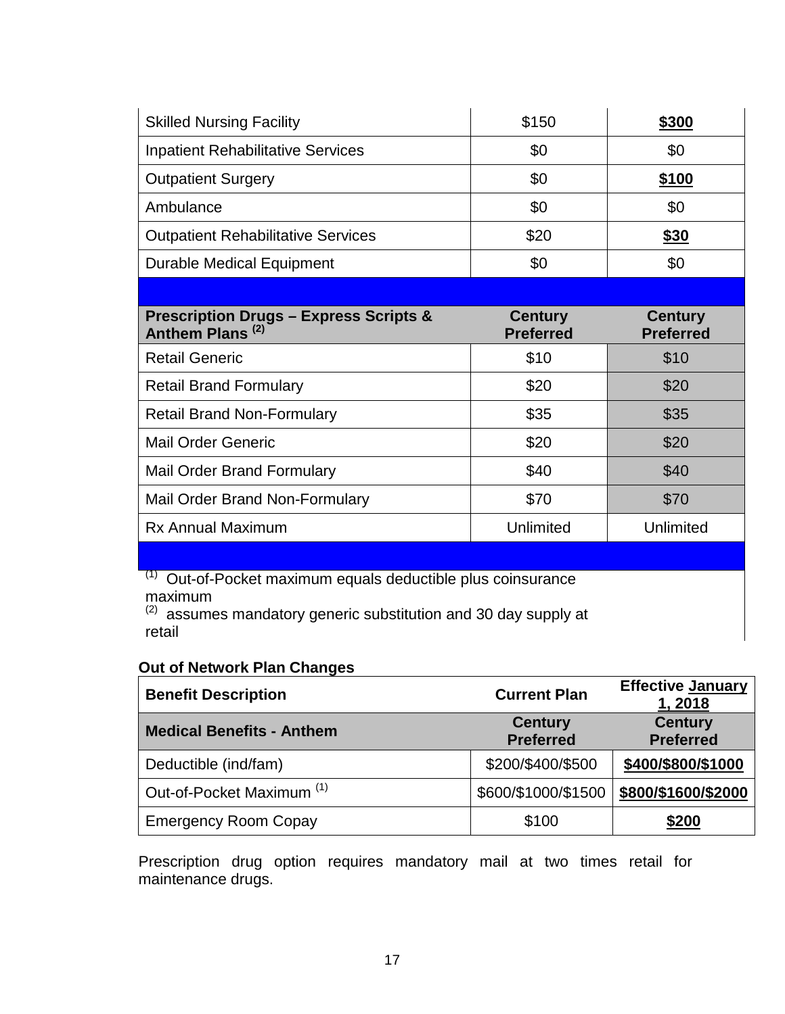| <b>Skilled Nursing Facility</b>                                                  | \$150                              | <u>\$300</u>                       |
|----------------------------------------------------------------------------------|------------------------------------|------------------------------------|
| <b>Inpatient Rehabilitative Services</b>                                         | \$0                                | \$0                                |
| <b>Outpatient Surgery</b>                                                        | \$0                                | \$100                              |
| Ambulance                                                                        | \$0                                | \$0                                |
| <b>Outpatient Rehabilitative Services</b>                                        | \$20                               | \$30                               |
| <b>Durable Medical Equipment</b>                                                 | \$0                                | \$0                                |
|                                                                                  |                                    |                                    |
| <b>Prescription Drugs - Express Scripts &amp;</b><br>Anthem Plans <sup>(2)</sup> | <b>Century</b><br><b>Preferred</b> | <b>Century</b><br><b>Preferred</b> |
|                                                                                  |                                    |                                    |
| <b>Retail Generic</b>                                                            | \$10                               | \$10                               |
| <b>Retail Brand Formulary</b>                                                    | \$20                               | \$20                               |
| <b>Retail Brand Non-Formulary</b>                                                | \$35                               | \$35                               |
| <b>Mail Order Generic</b>                                                        | \$20                               | \$20                               |
| <b>Mail Order Brand Formulary</b>                                                | \$40                               | \$40                               |
| Mail Order Brand Non-Formulary                                                   | \$70                               | \$70                               |
| <b>Rx Annual Maximum</b>                                                         | <b>Unlimited</b>                   | Unlimited                          |

 $(1)$  Out-of-Pocket maximum equals deductible plus coinsurance maximum

(2) assumes mandatory generic substitution and 30 day supply at retail

# **Out of Network Plan Changes**

| <b>Benefit Description</b>           | <b>Current Plan</b>                | <b>Effective January</b><br>1,2018 |
|--------------------------------------|------------------------------------|------------------------------------|
| <b>Medical Benefits - Anthem</b>     | <b>Century</b><br><b>Preferred</b> | <b>Century</b><br><b>Preferred</b> |
| Deductible (ind/fam)                 | \$200/\$400/\$500                  | \$400/\$800/\$1000                 |
| Out-of-Pocket Maximum <sup>(1)</sup> | \$600/\$1000/\$1500                | \$800/\$1600/\$2000                |
| <b>Emergency Room Copay</b>          | \$100                              | \$200                              |

Prescription drug option requires mandatory mail at two times retail for maintenance drugs.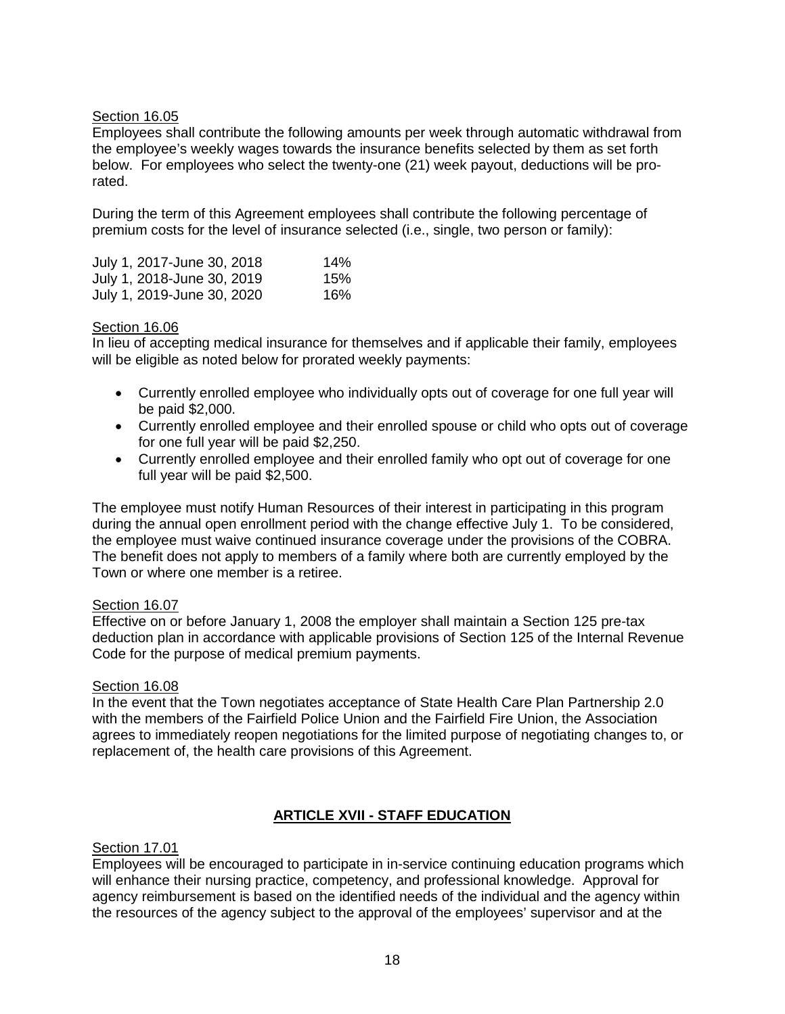#### Section 16.05

Employees shall contribute the following amounts per week through automatic withdrawal from the employee's weekly wages towards the insurance benefits selected by them as set forth below. For employees who select the twenty-one (21) week payout, deductions will be prorated.

During the term of this Agreement employees shall contribute the following percentage of premium costs for the level of insurance selected (i.e., single, two person or family):

| July 1, 2017-June 30, 2018 | 14% |
|----------------------------|-----|
| July 1, 2018-June 30, 2019 | 15% |
| July 1, 2019-June 30, 2020 | 16% |

#### Section 16.06

In lieu of accepting medical insurance for themselves and if applicable their family, employees will be eligible as noted below for prorated weekly payments:

- Currently enrolled employee who individually opts out of coverage for one full year will be paid \$2,000.
- Currently enrolled employee and their enrolled spouse or child who opts out of coverage for one full year will be paid \$2,250.
- Currently enrolled employee and their enrolled family who opt out of coverage for one full year will be paid \$2,500.

The employee must notify Human Resources of their interest in participating in this program during the annual open enrollment period with the change effective July 1. To be considered, the employee must waive continued insurance coverage under the provisions of the COBRA. The benefit does not apply to members of a family where both are currently employed by the Town or where one member is a retiree.

#### Section 16.07

Effective on or before January 1, 2008 the employer shall maintain a Section 125 pre-tax deduction plan in accordance with applicable provisions of Section 125 of the Internal Revenue Code for the purpose of medical premium payments.

#### Section 16.08

In the event that the Town negotiates acceptance of State Health Care Plan Partnership 2.0 with the members of the Fairfield Police Union and the Fairfield Fire Union, the Association agrees to immediately reopen negotiations for the limited purpose of negotiating changes to, or replacement of, the health care provisions of this Agreement.

## **ARTICLE XVII - STAFF EDUCATION**

#### Section 17.01

Employees will be encouraged to participate in in-service continuing education programs which will enhance their nursing practice, competency, and professional knowledge. Approval for agency reimbursement is based on the identified needs of the individual and the agency within the resources of the agency subject to the approval of the employees' supervisor and at the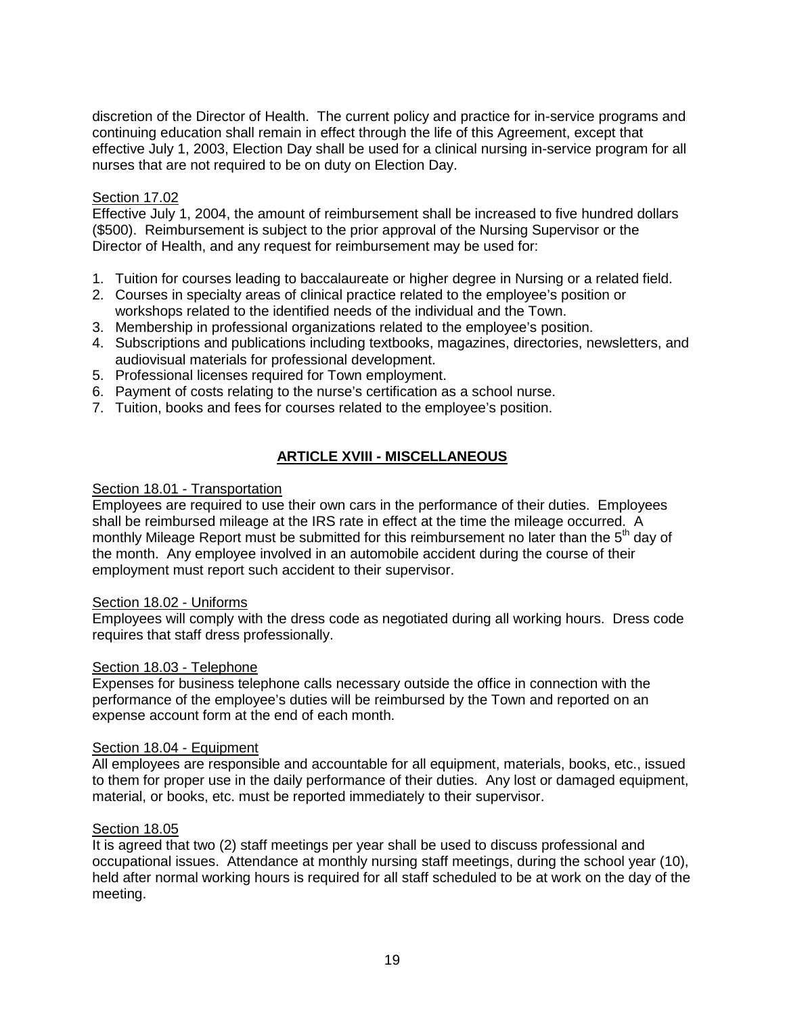discretion of the Director of Health. The current policy and practice for in-service programs and continuing education shall remain in effect through the life of this Agreement, except that effective July 1, 2003, Election Day shall be used for a clinical nursing in-service program for all nurses that are not required to be on duty on Election Day.

#### Section 17.02

Effective July 1, 2004, the amount of reimbursement shall be increased to five hundred dollars (\$500). Reimbursement is subject to the prior approval of the Nursing Supervisor or the Director of Health, and any request for reimbursement may be used for:

- 1. Tuition for courses leading to baccalaureate or higher degree in Nursing or a related field.
- 2. Courses in specialty areas of clinical practice related to the employee's position or workshops related to the identified needs of the individual and the Town.
- 3. Membership in professional organizations related to the employee's position.
- 4. Subscriptions and publications including textbooks, magazines, directories, newsletters, and audiovisual materials for professional development.
- 5. Professional licenses required for Town employment.
- 6. Payment of costs relating to the nurse's certification as a school nurse.
- 7. Tuition, books and fees for courses related to the employee's position.

#### **ARTICLE XVIII - MISCELLANEOUS**

#### Section 18.01 - Transportation

Employees are required to use their own cars in the performance of their duties. Employees shall be reimbursed mileage at the IRS rate in effect at the time the mileage occurred. A monthly Mileage Report must be submitted for this reimbursement no later than the  $5<sup>th</sup>$  day of the month. Any employee involved in an automobile accident during the course of their employment must report such accident to their supervisor.

#### Section 18.02 - Uniforms

Employees will comply with the dress code as negotiated during all working hours. Dress code requires that staff dress professionally.

#### Section 18.03 - Telephone

Expenses for business telephone calls necessary outside the office in connection with the performance of the employee's duties will be reimbursed by the Town and reported on an expense account form at the end of each month.

#### Section 18.04 - Equipment

All employees are responsible and accountable for all equipment, materials, books, etc., issued to them for proper use in the daily performance of their duties. Any lost or damaged equipment, material, or books, etc. must be reported immediately to their supervisor.

#### Section 18.05

It is agreed that two (2) staff meetings per year shall be used to discuss professional and occupational issues. Attendance at monthly nursing staff meetings, during the school year (10), held after normal working hours is required for all staff scheduled to be at work on the day of the meeting.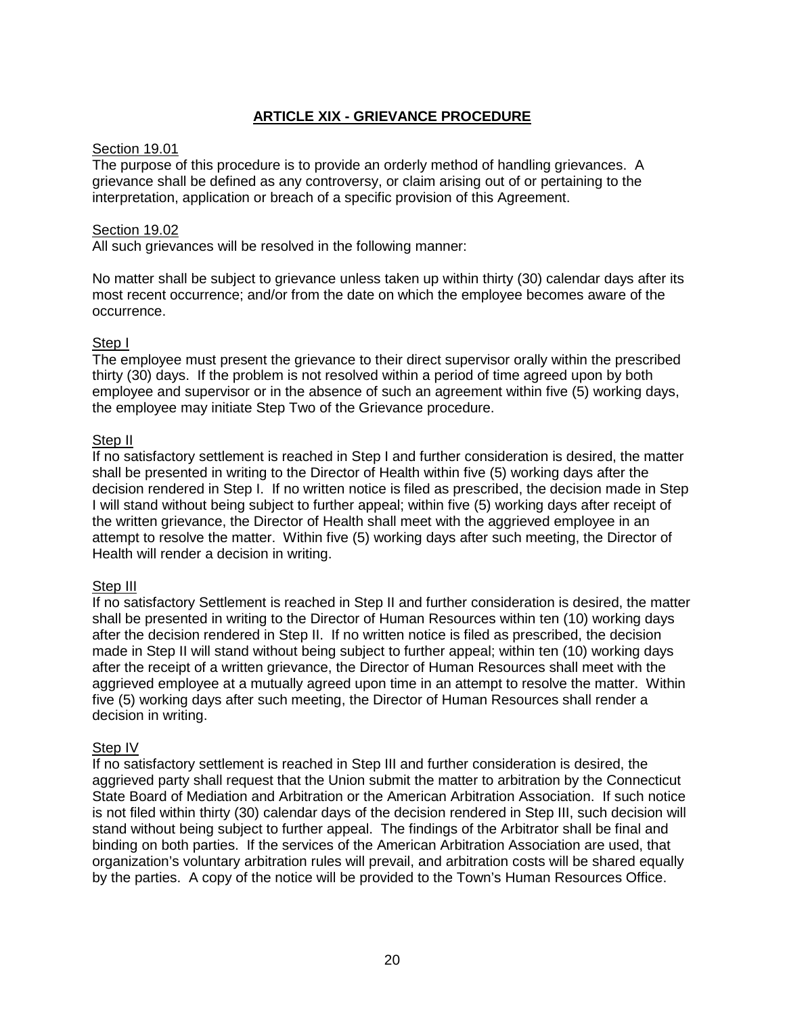## **ARTICLE XIX - GRIEVANCE PROCEDURE**

#### Section 19.01

The purpose of this procedure is to provide an orderly method of handling grievances. A grievance shall be defined as any controversy, or claim arising out of or pertaining to the interpretation, application or breach of a specific provision of this Agreement.

#### Section 19.02

All such grievances will be resolved in the following manner:

No matter shall be subject to grievance unless taken up within thirty (30) calendar days after its most recent occurrence; and/or from the date on which the employee becomes aware of the occurrence.

#### Step I

The employee must present the grievance to their direct supervisor orally within the prescribed thirty (30) days. If the problem is not resolved within a period of time agreed upon by both employee and supervisor or in the absence of such an agreement within five (5) working days, the employee may initiate Step Two of the Grievance procedure.

#### Step II

If no satisfactory settlement is reached in Step I and further consideration is desired, the matter shall be presented in writing to the Director of Health within five (5) working days after the decision rendered in Step I. If no written notice is filed as prescribed, the decision made in Step I will stand without being subject to further appeal; within five (5) working days after receipt of the written grievance, the Director of Health shall meet with the aggrieved employee in an attempt to resolve the matter. Within five (5) working days after such meeting, the Director of Health will render a decision in writing.

#### Step III

If no satisfactory Settlement is reached in Step II and further consideration is desired, the matter shall be presented in writing to the Director of Human Resources within ten (10) working days after the decision rendered in Step II. If no written notice is filed as prescribed, the decision made in Step II will stand without being subject to further appeal; within ten (10) working days after the receipt of a written grievance, the Director of Human Resources shall meet with the aggrieved employee at a mutually agreed upon time in an attempt to resolve the matter. Within five (5) working days after such meeting, the Director of Human Resources shall render a decision in writing.

#### Step IV

If no satisfactory settlement is reached in Step III and further consideration is desired, the aggrieved party shall request that the Union submit the matter to arbitration by the Connecticut State Board of Mediation and Arbitration or the American Arbitration Association. If such notice is not filed within thirty (30) calendar days of the decision rendered in Step III, such decision will stand without being subject to further appeal. The findings of the Arbitrator shall be final and binding on both parties. If the services of the American Arbitration Association are used, that organization's voluntary arbitration rules will prevail, and arbitration costs will be shared equally by the parties. A copy of the notice will be provided to the Town's Human Resources Office.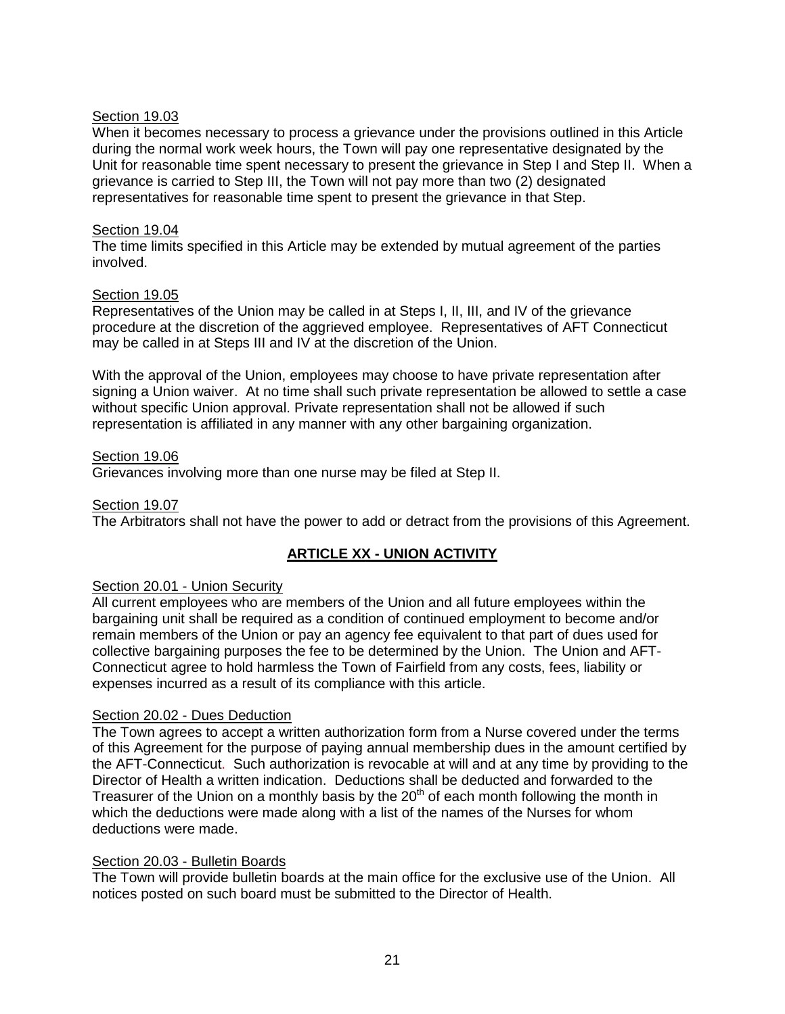#### Section 19.03

When it becomes necessary to process a grievance under the provisions outlined in this Article during the normal work week hours, the Town will pay one representative designated by the Unit for reasonable time spent necessary to present the grievance in Step I and Step II. When a grievance is carried to Step III, the Town will not pay more than two (2) designated representatives for reasonable time spent to present the grievance in that Step.

#### Section 19.04

The time limits specified in this Article may be extended by mutual agreement of the parties involved.

#### Section 19.05

Representatives of the Union may be called in at Steps I, II, III, and IV of the grievance procedure at the discretion of the aggrieved employee. Representatives of AFT Connecticut may be called in at Steps III and IV at the discretion of the Union.

With the approval of the Union, employees may choose to have private representation after signing a Union waiver. At no time shall such private representation be allowed to settle a case without specific Union approval. Private representation shall not be allowed if such representation is affiliated in any manner with any other bargaining organization.

#### Section 19.06

Grievances involving more than one nurse may be filed at Step II.

#### Section 19.07

The Arbitrators shall not have the power to add or detract from the provisions of this Agreement.

## **ARTICLE XX - UNION ACTIVITY**

# Section 20.01 - Union Security

All current employees who are members of the Union and all future employees within the bargaining unit shall be required as a condition of continued employment to become and/or remain members of the Union or pay an agency fee equivalent to that part of dues used for collective bargaining purposes the fee to be determined by the Union. The Union and AFT-Connecticut agree to hold harmless the Town of Fairfield from any costs, fees, liability or expenses incurred as a result of its compliance with this article.

#### Section 20.02 - Dues Deduction

The Town agrees to accept a written authorization form from a Nurse covered under the terms of this Agreement for the purpose of paying annual membership dues in the amount certified by the AFT-Connecticut. Such authorization is revocable at will and at any time by providing to the Director of Health a written indication. Deductions shall be deducted and forwarded to the Treasurer of the Union on a monthly basis by the  $20<sup>th</sup>$  of each month following the month in which the deductions were made along with a list of the names of the Nurses for whom deductions were made.

#### Section 20.03 - Bulletin Boards

The Town will provide bulletin boards at the main office for the exclusive use of the Union. All notices posted on such board must be submitted to the Director of Health.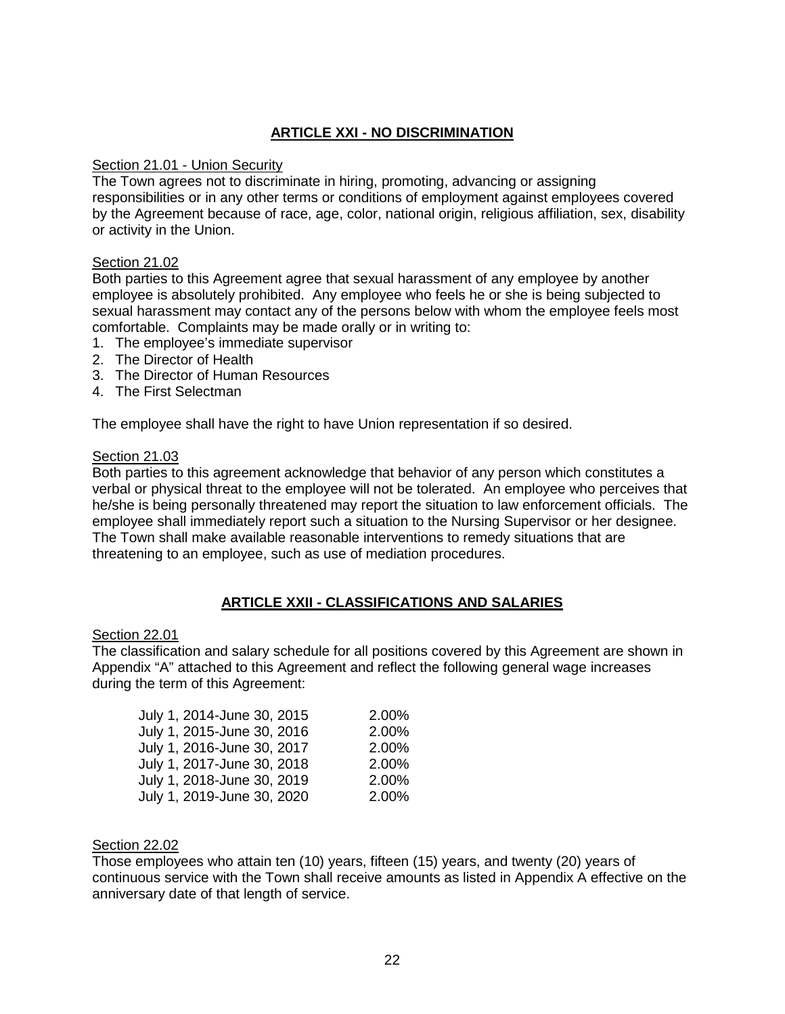# **ARTICLE XXI - NO DISCRIMINATION**

#### Section 21.01 - Union Security

The Town agrees not to discriminate in hiring, promoting, advancing or assigning responsibilities or in any other terms or conditions of employment against employees covered by the Agreement because of race, age, color, national origin, religious affiliation, sex, disability or activity in the Union.

#### Section 21.02

Both parties to this Agreement agree that sexual harassment of any employee by another employee is absolutely prohibited. Any employee who feels he or she is being subjected to sexual harassment may contact any of the persons below with whom the employee feels most comfortable. Complaints may be made orally or in writing to:

- 1. The employee's immediate supervisor
- 2. The Director of Health
- 3. The Director of Human Resources
- 4. The First Selectman

The employee shall have the right to have Union representation if so desired.

#### Section 21.03

Both parties to this agreement acknowledge that behavior of any person which constitutes a verbal or physical threat to the employee will not be tolerated. An employee who perceives that he/she is being personally threatened may report the situation to law enforcement officials. The employee shall immediately report such a situation to the Nursing Supervisor or her designee. The Town shall make available reasonable interventions to remedy situations that are threatening to an employee, such as use of mediation procedures.

#### **ARTICLE XXII - CLASSIFICATIONS AND SALARIES**

#### Section 22.01

The classification and salary schedule for all positions covered by this Agreement are shown in Appendix "A" attached to this Agreement and reflect the following general wage increases during the term of this Agreement:

| July 1, 2014-June 30, 2015 | 2.00% |
|----------------------------|-------|
| July 1, 2015-June 30, 2016 | 2.00% |
| July 1, 2016-June 30, 2017 | 2.00% |
| July 1, 2017-June 30, 2018 | 2.00% |
| July 1, 2018-June 30, 2019 | 2.00% |
| July 1, 2019-June 30, 2020 | 2.00% |

# Section 22.02

Those employees who attain ten (10) years, fifteen (15) years, and twenty (20) years of continuous service with the Town shall receive amounts as listed in Appendix A effective on the anniversary date of that length of service.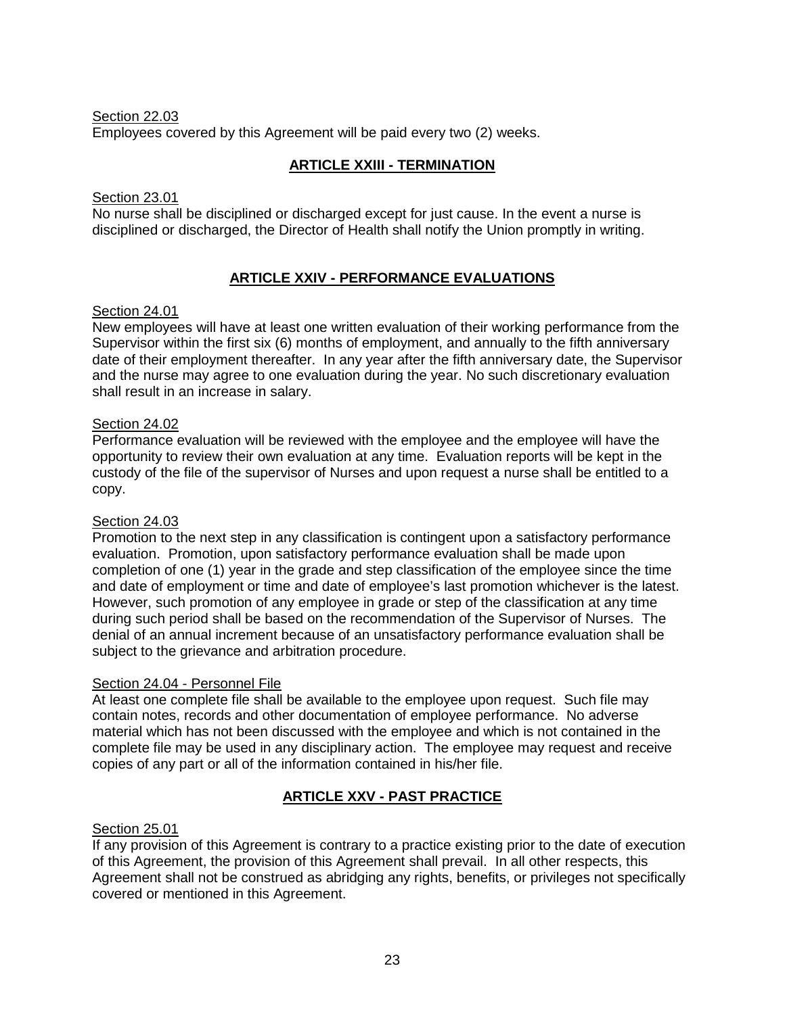#### Section 22.03 Employees covered by this Agreement will be paid every two (2) weeks.

# **ARTICLE XXIII - TERMINATION**

#### Section 23.01

No nurse shall be disciplined or discharged except for just cause. In the event a nurse is disciplined or discharged, the Director of Health shall notify the Union promptly in writing.

# **ARTICLE XXIV - PERFORMANCE EVALUATIONS**

#### Section 24.01

New employees will have at least one written evaluation of their working performance from the Supervisor within the first six (6) months of employment, and annually to the fifth anniversary date of their employment thereafter. In any year after the fifth anniversary date, the Supervisor and the nurse may agree to one evaluation during the year. No such discretionary evaluation shall result in an increase in salary.

#### Section 24.02

Performance evaluation will be reviewed with the employee and the employee will have the opportunity to review their own evaluation at any time. Evaluation reports will be kept in the custody of the file of the supervisor of Nurses and upon request a nurse shall be entitled to a copy.

## Section 24.03

Promotion to the next step in any classification is contingent upon a satisfactory performance evaluation. Promotion, upon satisfactory performance evaluation shall be made upon completion of one (1) year in the grade and step classification of the employee since the time and date of employment or time and date of employee's last promotion whichever is the latest. However, such promotion of any employee in grade or step of the classification at any time during such period shall be based on the recommendation of the Supervisor of Nurses. The denial of an annual increment because of an unsatisfactory performance evaluation shall be subject to the grievance and arbitration procedure.

#### Section 24.04 - Personnel File

At least one complete file shall be available to the employee upon request. Such file may contain notes, records and other documentation of employee performance. No adverse material which has not been discussed with the employee and which is not contained in the complete file may be used in any disciplinary action. The employee may request and receive copies of any part or all of the information contained in his/her file.

## **ARTICLE XXV - PAST PRACTICE**

## Section 25.01

If any provision of this Agreement is contrary to a practice existing prior to the date of execution of this Agreement, the provision of this Agreement shall prevail. In all other respects, this Agreement shall not be construed as abridging any rights, benefits, or privileges not specifically covered or mentioned in this Agreement.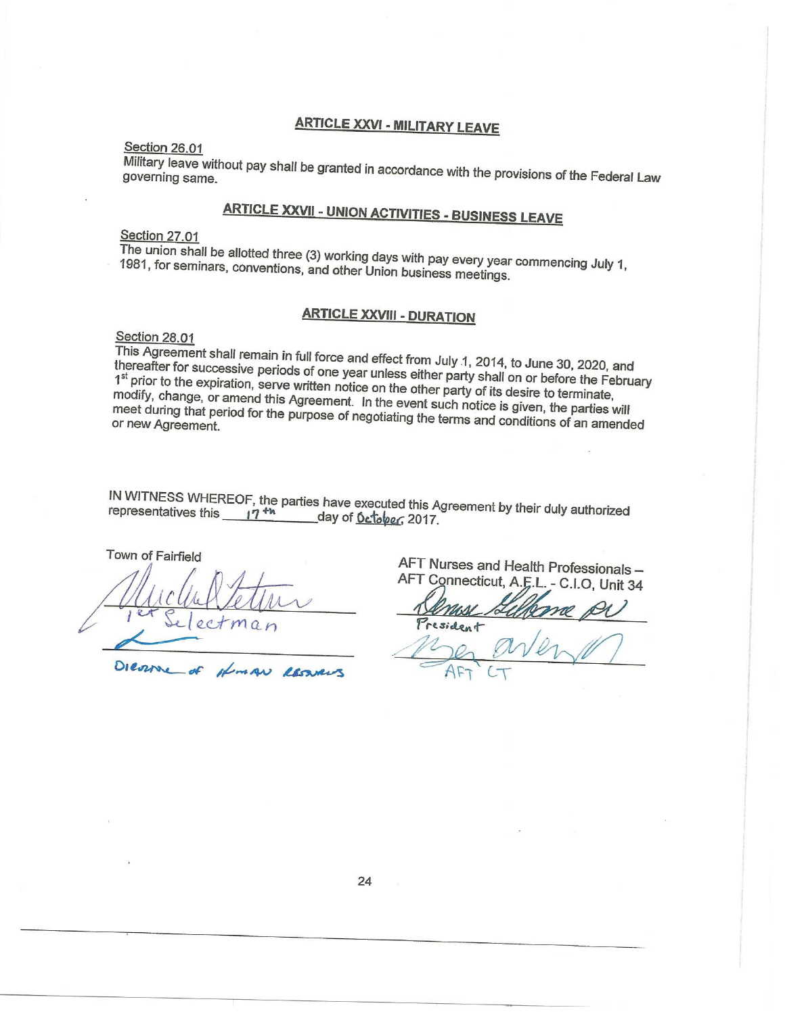# **ARTICLE XXVI - MILITARY LEAVE**

#### Section 26.01

Military leave without pay shall be granted in accordance with the provisions of the Federal Law governing same.

# **ARTICLE XXVII - UNION ACTIVITIES - BUSINESS LEAVE**

#### Section 27.01

The union shall be allotted three (3) working days with pay every year commencing July 1, 1981, for seminars, conventions, and other Union business meetings.

# **ARTICLE XXVIII - DURATION**

#### Section 28.01

This Agreement shall remain in full force and effect from July 1, 2014, to June 30, 2020, and thereafter for successive periods of one year unless either party shall on or before the February 1st prior to the expiration, serve written notice on the other party of its desire to terminate, modify, change, or amend this Agreement. In the event such notice is given, the parties will meet during that period for the purpose of negotiating the terms and conditions of an amended

IN WITNESS WHEREOF, the parties have executed this Agreement by their duly authorized representatives this  $17^{th}$ day of October, 2017.

LESAN

Town of Fairfield Dieorre dongo

AFT Nurses and Health Professionals-AFT Connecticut, A.E.L. - C.I.O, Unit 34

President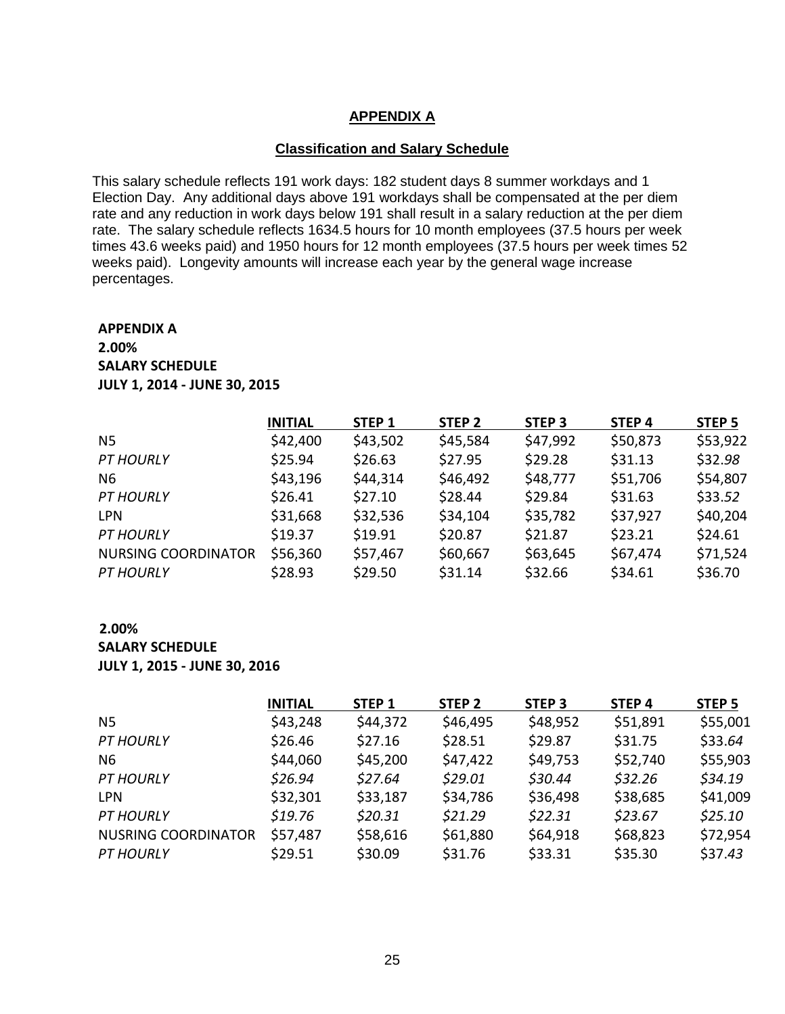#### **APPENDIX A**

#### **Classification and Salary Schedule**

This salary schedule reflects 191 work days: 182 student days 8 summer workdays and 1 Election Day. Any additional days above 191 workdays shall be compensated at the per diem rate and any reduction in work days below 191 shall result in a salary reduction at the per diem rate. The salary schedule reflects 1634.5 hours for 10 month employees (37.5 hours per week times 43.6 weeks paid) and 1950 hours for 12 month employees (37.5 hours per week times 52 weeks paid). Longevity amounts will increase each year by the general wage increase percentages.

# **APPENDIX A 2.00% SALARY SCHEDULE JULY 1, 2014 - JUNE 30, 2015**

|                            | <b>INITIAL</b> | STEP <sub>1</sub> | STEP <sub>2</sub> | STEP <sub>3</sub> | STEP <sub>4</sub> | STEP <sub>5</sub> |
|----------------------------|----------------|-------------------|-------------------|-------------------|-------------------|-------------------|
| N <sub>5</sub>             | \$42,400       | \$43,502          | \$45,584          | \$47,992          | \$50,873          | \$53,922          |
| <b>PT HOURLY</b>           | \$25.94        | \$26.63           | \$27.95           | \$29.28           | \$31.13           | \$32.98           |
| N <sub>6</sub>             | \$43,196       | \$44,314          | \$46,492          | \$48,777          | \$51,706          | \$54,807          |
| <b>PT HOURLY</b>           | \$26.41        | \$27.10           | \$28.44           | \$29.84           | \$31.63           | \$33.52           |
| <b>LPN</b>                 | \$31,668       | \$32,536          | \$34,104          | \$35,782          | \$37,927          | \$40,204          |
| <b>PT HOURLY</b>           | \$19.37        | \$19.91           | \$20.87           | \$21.87           | \$23.21           | \$24.61           |
| <b>NURSING COORDINATOR</b> | \$56,360       | \$57,467          | \$60,667          | \$63,645          | \$67,474          | \$71,524          |
| <b>PT HOURLY</b>           | \$28.93        | \$29.50           | \$31.14           | \$32.66           | \$34.61           | \$36.70           |

#### **2.00% SALARY SCHEDULE JULY 1, 2015 - JUNE 30, 2016**

|                            | <b>INITIAL</b> | STEP <sub>1</sub> | STEP <sub>2</sub> | STEP <sub>3</sub> | STEP <sub>4</sub> | STEP <sub>5</sub> |
|----------------------------|----------------|-------------------|-------------------|-------------------|-------------------|-------------------|
| N5                         | \$43,248       | \$44,372          | \$46,495          | \$48,952          | \$51,891          | \$55,001          |
| <b>PT HOURLY</b>           | \$26.46        | \$27.16           | \$28.51           | \$29.87           | \$31.75           | \$33.64           |
| N <sub>6</sub>             | \$44,060       | \$45,200          | \$47,422          | \$49,753          | \$52,740          | \$55,903          |
| <b>PT HOURLY</b>           | \$26.94        | \$27.64           | \$29.01           | \$30.44           | \$32.26           | \$34.19           |
| <b>LPN</b>                 | \$32,301       | \$33,187          | \$34,786          | \$36,498          | \$38,685          | \$41,009          |
| <b>PT HOURLY</b>           | \$19.76        | \$20.31           | \$21.29           | \$22.31           | \$23.67           | \$25.10           |
| <b>NUSRING COORDINATOR</b> | \$57,487       | \$58,616          | \$61,880          | \$64,918          | \$68,823          | \$72,954          |
| <b>PT HOURLY</b>           | \$29.51        | \$30.09           | \$31.76           | \$33.31           | \$35.30           | \$37.43           |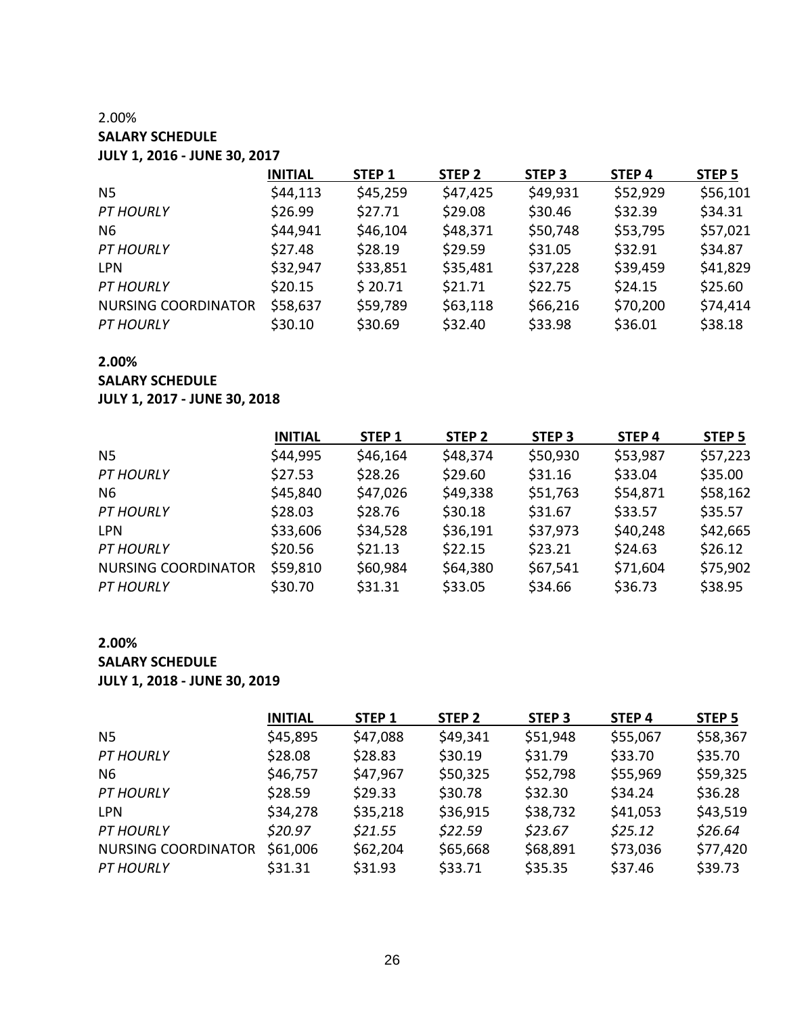# 2.00% **SALARY SCHEDULE JULY 1, 2016 - JUNE 30, 2017**

|                            | <b>INITIAL</b> | STEP <sub>1</sub> | STEP <sub>2</sub> | STEP <sub>3</sub> | STEP <sub>4</sub> | STEP <sub>5</sub> |
|----------------------------|----------------|-------------------|-------------------|-------------------|-------------------|-------------------|
| N5                         | \$44,113       | \$45,259          | \$47,425          | \$49,931          | \$52,929          | \$56,101          |
| <b>PT HOURLY</b>           | \$26.99        | \$27.71           | \$29.08           | \$30.46           | \$32.39           | \$34.31           |
| N <sub>6</sub>             | \$44,941       | \$46,104          | \$48,371          | \$50,748          | \$53,795          | \$57,021          |
| <b>PT HOURLY</b>           | \$27.48        | \$28.19           | \$29.59           | \$31.05           | \$32.91           | \$34.87           |
| <b>LPN</b>                 | \$32,947       | \$33,851          | \$35,481          | \$37,228          | \$39,459          | \$41,829          |
| <b>PT HOURLY</b>           | \$20.15        | \$20.71           | \$21.71           | \$22.75           | \$24.15           | \$25.60           |
| <b>NURSING COORDINATOR</b> | \$58,637       | \$59,789          | \$63,118          | \$66,216          | \$70,200          | \$74,414          |
| <b>PT HOURLY</b>           | \$30.10        | \$30.69           | \$32.40           | \$33.98           | \$36.01           | \$38.18           |

### **2.00%**

**SALARY SCHEDULE**

#### **JULY 1, 2017 - JUNE 30, 2018**

|                            | <b>INITIAL</b> | STEP <sub>1</sub> | STEP <sub>2</sub> | STEP <sub>3</sub> | STEP <sub>4</sub> | STEP <sub>5</sub> |
|----------------------------|----------------|-------------------|-------------------|-------------------|-------------------|-------------------|
| N <sub>5</sub>             | \$44,995       | \$46,164          | \$48,374          | \$50,930          | \$53,987          | \$57,223          |
| <b>PT HOURLY</b>           | \$27.53        | \$28.26           | \$29.60           | \$31.16           | \$33.04           | \$35.00           |
| N6                         | \$45,840       | \$47,026          | \$49,338          | \$51,763          | \$54,871          | \$58,162          |
| <b>PT HOURLY</b>           | \$28.03        | \$28.76           | \$30.18           | \$31.67           | \$33.57           | \$35.57           |
| <b>LPN</b>                 | \$33,606       | \$34,528          | \$36,191          | \$37,973          | \$40,248          | \$42,665          |
| <b>PT HOURLY</b>           | \$20.56        | \$21.13           | \$22.15           | \$23.21           | \$24.63           | \$26.12           |
| <b>NURSING COORDINATOR</b> | \$59,810       | \$60,984          | \$64,380          | \$67,541          | \$71,604          | \$75,902          |
| <b>PT HOURLY</b>           | \$30.70        | \$31.31           | \$33.05           | \$34.66           | \$36.73           | \$38.95           |

# **2.00%**

**SALARY SCHEDULE**

**JULY 1, 2018 - JUNE 30, 2019**

|                            | <b>INITIAL</b> | STEP 1   | STEP <sub>2</sub> | STEP <sub>3</sub> | STEP <sub>4</sub> | STEP <sub>5</sub> |
|----------------------------|----------------|----------|-------------------|-------------------|-------------------|-------------------|
| N <sub>5</sub>             | \$45,895       | \$47,088 | \$49,341          | \$51,948          | \$55,067          | \$58,367          |
| <b>PT HOURLY</b>           | \$28.08        | \$28.83  | \$30.19           | \$31.79           | \$33.70           | \$35.70           |
| N <sub>6</sub>             | \$46,757       | \$47,967 | \$50,325          | \$52,798          | \$55,969          | \$59,325          |
| <b>PT HOURLY</b>           | \$28.59        | \$29.33  | \$30.78           | \$32.30           | \$34.24           | \$36.28           |
| <b>LPN</b>                 | \$34,278       | \$35,218 | \$36,915          | \$38,732          | \$41,053          | \$43,519          |
| <b>PT HOURLY</b>           | \$20.97        | \$21.55  | \$22.59           | \$23.67           | \$25.12           | \$26.64           |
| <b>NURSING COORDINATOR</b> | \$61,006       | \$62,204 | \$65,668          | \$68,891          | \$73,036          | \$77,420          |
| <b>PT HOURLY</b>           | \$31.31        | \$31.93  | \$33.71           | \$35.35           | \$37.46           | \$39.73           |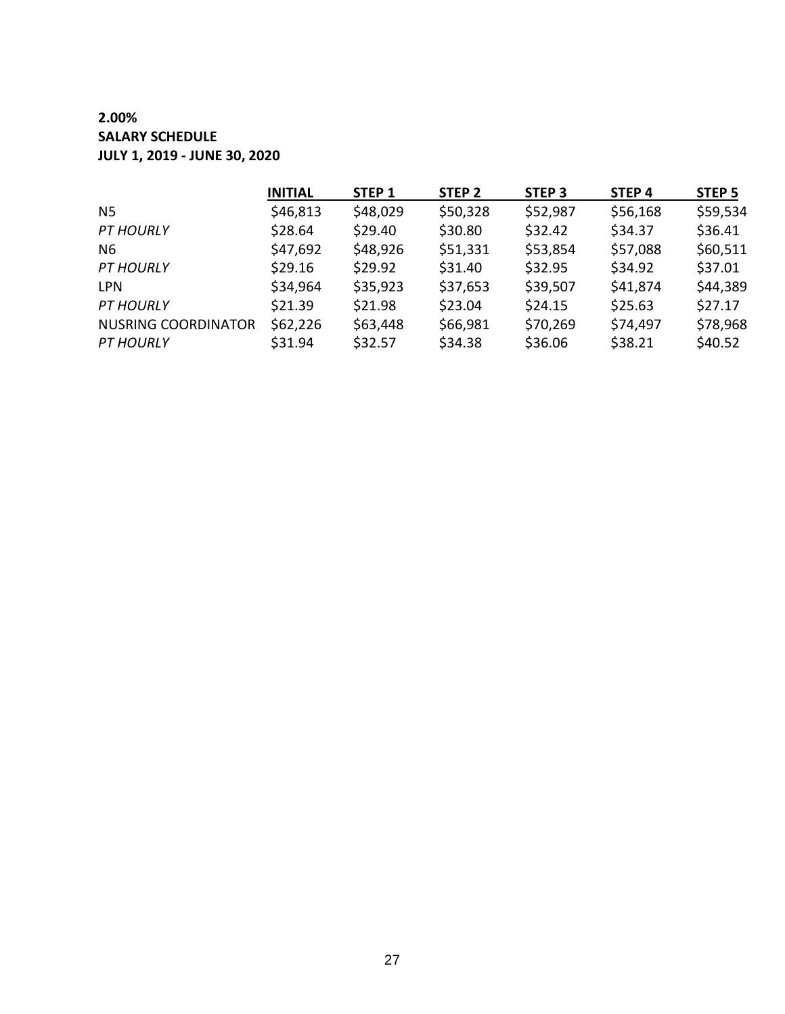# **2.00% SALARY SCHEDULE JULY 1, 2019 - JUNE 30, 2020**

|                            | <b>INITIAL</b> | STEP <sub>1</sub> | STEP <sub>2</sub> | STEP <sub>3</sub> | STEP <sub>4</sub> | STEP <sub>5</sub> |
|----------------------------|----------------|-------------------|-------------------|-------------------|-------------------|-------------------|
| N5                         | \$46,813       | \$48,029          | \$50,328          | \$52,987          | \$56,168          | \$59,534          |
| <b>PT HOURLY</b>           | \$28.64        | \$29.40           | \$30.80           | \$32.42           | \$34.37           | \$36.41           |
| N6                         | \$47,692       | \$48,926          | \$51,331          | \$53,854          | \$57,088          | \$60,511          |
| <b>PT HOURLY</b>           | \$29.16        | \$29.92           | \$31.40           | \$32.95           | \$34.92           | \$37.01           |
| <b>LPN</b>                 | \$34,964       | \$35,923          | \$37,653          | \$39,507          | \$41,874          | \$44,389          |
| <b>PT HOURLY</b>           | \$21.39        | \$21.98           | \$23.04           | \$24.15           | \$25.63           | \$27.17           |
| <b>NUSRING COORDINATOR</b> | \$62,226       | \$63,448          | \$66,981          | \$70,269          | \$74,497          | \$78,968          |
| <b>PT HOURLY</b>           | \$31.94        | \$32.57           | \$34.38           | \$36.06           | \$38.21           | \$40.52           |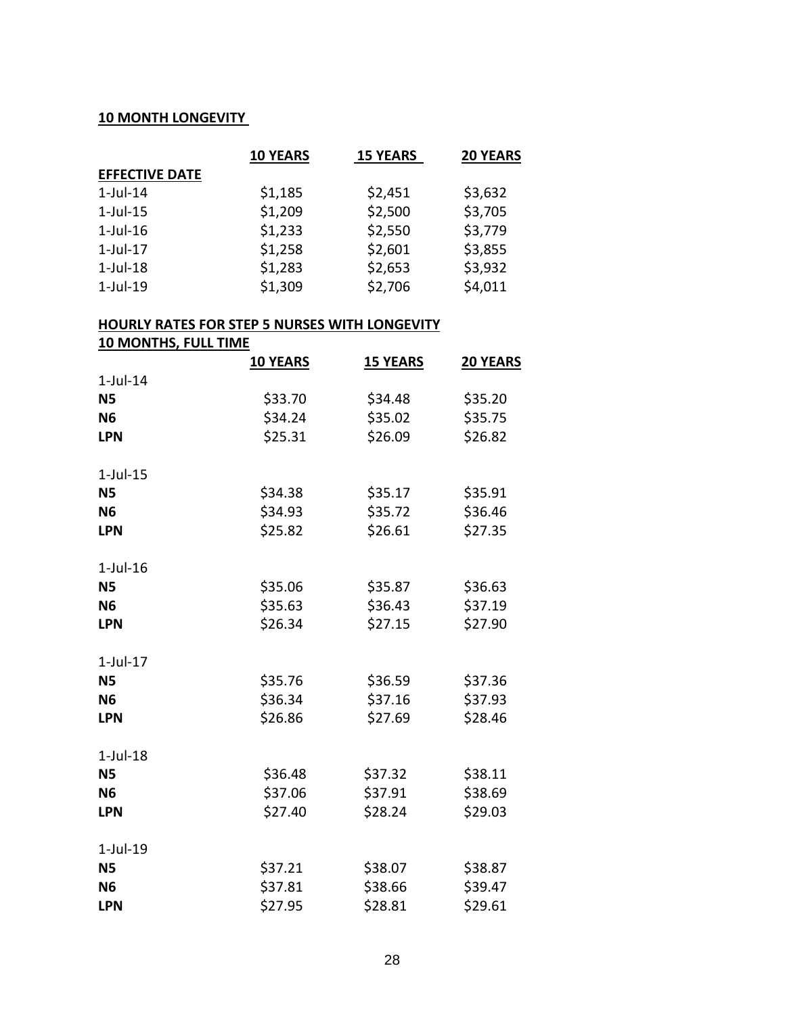# **10 MONTH LONGEVITY**

|                       | <b>10 YEARS</b> | <b>15 YEARS</b> | <b>20 YEARS</b> |
|-----------------------|-----------------|-----------------|-----------------|
| <b>EFFECTIVE DATE</b> |                 |                 |                 |
| $1$ -Jul-14           | \$1,185         | \$2,451         | \$3,632         |
| $1$ -Jul- $15$        | \$1,209         | \$2,500         | \$3,705         |
| $1$ -Jul- $16$        | \$1,233         | \$2,550         | \$3,779         |
| $1$ -Jul- $17$        | \$1,258         | \$2,601         | \$3,855         |
| $1$ -Jul- $18$        | \$1,283         | \$2,653         | \$3,932         |
| $1$ -Jul-19           | \$1,309         | \$2,706         | \$4,011         |

#### **HOURLY RATES FOR STEP 5 NURSES WITH LONGEVITY**

**10 MONTHS, FULL TIME**

|                | <b>10 YEARS</b> | <b>15 YEARS</b> |         |
|----------------|-----------------|-----------------|---------|
| $1$ -Jul- $14$ |                 |                 |         |
| <b>N5</b>      | \$33.70         | \$34.48         | \$35.20 |
| <b>N6</b>      | \$34.24         | \$35.02         | \$35.75 |
| <b>LPN</b>     | \$25.31         | \$26.09         | \$26.82 |
| $1$ -Jul- $15$ |                 |                 |         |
| <b>N5</b>      | \$34.38         | \$35.17         | \$35.91 |
| <b>N6</b>      | \$34.93         | \$35.72         | \$36.46 |
| <b>LPN</b>     | \$25.82         | \$26.61         | \$27.35 |
| $1$ -Jul- $16$ |                 |                 |         |
| <b>N5</b>      | \$35.06         | \$35.87         | \$36.63 |
| <b>N6</b>      | \$35.63         | \$36.43         | \$37.19 |
| <b>LPN</b>     | \$26.34         | \$27.15         | \$27.90 |
| $1$ -Jul- $17$ |                 |                 |         |
| <b>N5</b>      | \$35.76         | \$36.59         | \$37.36 |
| <b>N6</b>      | \$36.34         | \$37.16         | \$37.93 |
| <b>LPN</b>     | \$26.86         | \$27.69         | \$28.46 |
| $1$ -Jul- $18$ |                 |                 |         |
| <b>N5</b>      | \$36.48         | \$37.32         | \$38.11 |
| <b>N6</b>      | \$37.06         | \$37.91         | \$38.69 |
| <b>LPN</b>     | \$27.40         | \$28.24         | \$29.03 |
| $1$ -Jul- $19$ |                 |                 |         |
| <b>N5</b>      | \$37.21         | \$38.07         | \$38.87 |
| <b>N6</b>      | \$37.81         | \$38.66         | \$39.47 |
| <b>LPN</b>     | \$27.95         | \$28.81         | \$29.61 |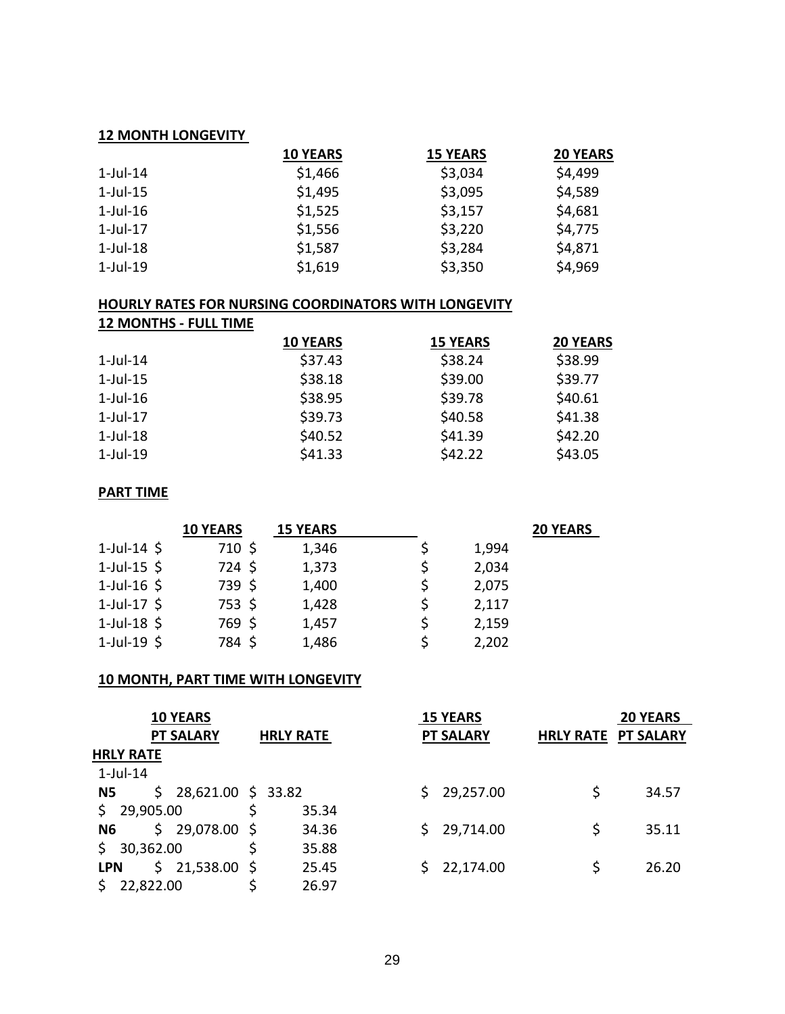#### **12 MONTH LONGEVITY**

|                | <b>10 YEARS</b> | <b>15 YEARS</b> | <b>20 YEARS</b> |
|----------------|-----------------|-----------------|-----------------|
| $1$ -Jul- $14$ | \$1,466         | \$3,034         | \$4,499         |
| $1$ -Jul- $15$ | \$1,495         | \$3,095         | \$4,589         |
| $1$ -Jul- $16$ | \$1,525         | \$3,157         | \$4,681         |
| $1$ -Jul- $17$ | \$1,556         | \$3,220         | \$4,775         |
| $1$ -Jul- $18$ | \$1,587         | \$3,284         | \$4,871         |
| $1$ -Jul- $19$ | \$1,619         | \$3,350         | \$4,969         |

#### **HOURLY RATES FOR NURSING COORDINATORS WITH LONGEVITY**

| <b>12 MONTHS - FULL TIME</b> |                 |                 |                 |
|------------------------------|-----------------|-----------------|-----------------|
|                              | <b>10 YEARS</b> | <b>15 YEARS</b> | <b>20 YEARS</b> |
| $1$ -Jul-14                  | \$37.43         | \$38.24         | \$38.99         |
| $1$ -Jul- $15$               | \$38.18         | \$39.00         | \$39.77         |
| $1$ -Jul- $16$               | \$38.95         | \$39.78         | \$40.61         |
| $1$ -Jul-17                  | \$39.73         | \$40.58         | \$41.38         |
| $1$ -Jul-18                  | \$40.52         | \$41.39         | \$42.20         |
| $1$ -Jul-19                  | \$41.33         | \$42.22         | \$43.05         |

# **PART TIME**

|                  | <b>10 YEARS</b> | <b>15 YEARS</b> |       | <b>20 YEARS</b> |
|------------------|-----------------|-----------------|-------|-----------------|
| 1-Jul-14 $\oint$ | $710 \;$ \$     | 1,346           | 1,994 |                 |
| $1$ -Jul-15 \$   | 724 \$          | 1,373           | 2,034 |                 |
| $1$ -Jul-16 \$   | 739 \$          | 1,400           | 2,075 |                 |
| $1$ -Jul-17 \$   | 753 \$          | 1,428           | 2,117 |                 |
| $1$ -Jul-18 \$   | 769 \$          | 1,457           | 2,159 |                 |
| $1$ -Jul-19 \$   | 784 \$          | 1,486           | 2,202 |                 |

#### **10 MONTH, PART TIME WITH LONGEVITY**

| <b>10 YEARS</b>                        |                  | <b>15 YEARS</b>  | <b>20 YEARS</b>            |
|----------------------------------------|------------------|------------------|----------------------------|
| <b>PT SALARY</b>                       | <b>HRLY RATE</b> | <b>PT SALARY</b> | <b>HRLY RATE PT SALARY</b> |
| <b>HRLY RATE</b>                       |                  |                  |                            |
| $1$ -Jul-14                            |                  |                  |                            |
| 28,621.00 \$ 33.82<br>\$.<br><b>N5</b> |                  | 29,257.00<br>S.  | \$<br>34.57                |
| 29,905.00<br>\$.                       | 35.34            |                  |                            |
| 29,078.00 \$<br>\$.<br>N <sub>6</sub>  | 34.36            | 29,714.00<br>S.  | \$<br>35.11                |
| 30,362.00                              | 35.88            |                  |                            |
| Ŝ.<br>21,538.00 \$<br><b>LPN</b>       | 25.45            | 22,174.00        | \$<br>26.20                |
| 22,822.00                              | 26.97            |                  |                            |